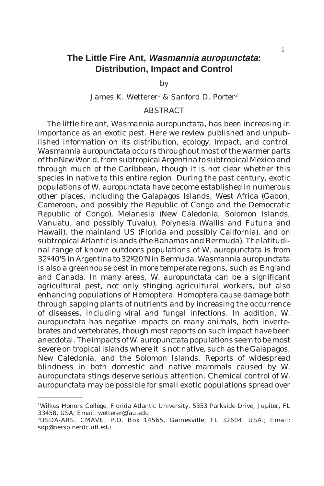# **The Little Fire Ant, Wasmannia auropunctata: Distribution, Impact and Control**

by

## James K. Wetterer<sup>1</sup> & Sanford D. Porter<sup>2</sup>

## ABSTRACT

The little fire ant, *Wasmannia auropunctata*, has been increasing in importance as an exotic pest. Here we review published and unpublished information on its distribution, ecology, impact, and control. *Wasmannia auropunctata* occurs throughout most of the warmer parts of the New World, from subtropical Argentina to subtropical Mexico and through much of the Caribbean, though it is not clear whether this species in native to this entire region. During the past century, exotic populations of *W. auropunctata* have become established in numerous other places, including the Galapagos Islands, West Africa (Gabon, Cameroon, and possibly the Republic of Congo and the Democratic Republic of Congo), Melanesia (New Caledonia, Solomon Islands, Vanuatu, and possibly Tuvalu), Polynesia (Wallis and Futuna and Hawaii), the mainland US (Florida and possibly California), and on subtropical Atlantic islands (the Bahamas and Bermuda). The latitudinal range of known outdoors populations of *W. auropunctata* is from 32º40'S in Argentina to 32º20'N in Bermuda. *Wasmannia auropunctata* is also a greenhouse pest in more temperate regions, such as England and Canada. In many areas, *W. auropunctata* can be a significant agricultural pest, not only stinging agricultural workers, but also enhancing populations of Homoptera. Homoptera cause damage both through sapping plants of nutrients and by increasing the occurrence of diseases, including viral and fungal infections. In addition, *W. auropunctata* has negative impacts on many animals, both invertebrates and vertebrates, though most reports on such impact have been anecdotal. The impacts of *W. auropunctata* populations seem to be most severe on tropical islands where it is not native, such as the Galapagos, New Caledonia, and the Solomon Islands. Reports of widespread blindness in both domestic and native mammals caused by *W. auropunctata* stings deserve serious attention. Chemical control of *W. auropunctata* may be possible for small exotic populations spread over

<sup>1</sup>Wilkes Honors College, Florida Atlantic University, 5353 Parkside Drive, Jupiter, FL 33458, USA; Email: wetterer@fau.edu

<sup>2</sup>USDA-ARS, CMAVE, P.O. Box 14565, Gainesville, FL 32604, USA.; Email: sdp@nersp.nerdc.ufl.edu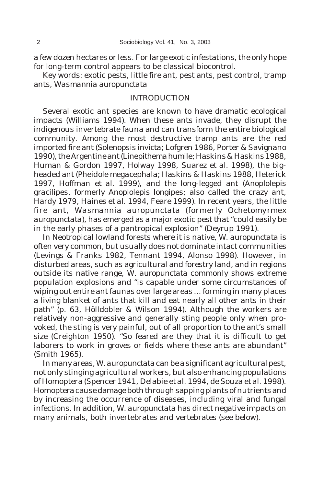a few dozen hectares or less. For large exotic infestations, the only hope for long-term control appears to be classical biocontrol.

Key words: exotic pests, little fire ant, pest ants, pest control, tramp ants, *Wasmannia auropunctata*

### INTRODUCTION

Several exotic ant species are known to have dramatic ecological impacts (Williams 1994). When these ants invade, they disrupt the indigenous invertebrate fauna and can transform the entire biological community. Among the most destructive tramp ants are the red imported fire ant (*Solenopsis invicta*; Lofgren 1986, Porter & Savignano 1990), the Argentine ant (*Linepithema humile*; Haskins & Haskins 1988, Human & Gordon 1997, Holway 1998, Suarez *et al.* 1998), the bigheaded ant (*Pheidole megacephala*; Haskins & Haskins 1988, Heterick 1997, Hoffman *et al.* 1999), and the long-legged ant (*Anoplolepis gracilipes*, formerly *Anoplolepis longipes*; also called the crazy ant, Hardy 1979, Haines *et al*. 1994, Feare 1999). In recent years, the little fire ant, *Wasmannia auropunctata* (formerly *Ochetomyrmex auropunctata*), has emerged as a major exotic pest that "could easily be in the early phases of a pantropical explosion" (Deyrup 1991).

In Neotropical lowland forests where it is native, *W. auropunctata* is often very common, but usually does not dominate intact communities (Levings & Franks 1982, Tennant 1994, Alonso 1998). However, in disturbed areas, such as agricultural and forestry land, and in regions outside its native range, *W. auropunctata* commonly shows extreme population explosions and "is capable under some circumstances of wiping out entire ant faunas over large areas ... forming in many places a living blanket of ants that kill and eat nearly all other ants in their path" (p. 63, Hölldobler & Wilson 1994). Although the workers are relatively non-aggressive and generally sting people only when provoked, the sting is very painful, out of all proportion to the ant's small size (Creighton 1950). "So feared are they that it is difficult to get laborers to work in groves or fields where these ants are abundant" (Smith 1965).

In many areas, *W. auropunctata* can be a significant agricultural pest, not only stinging agricultural workers, but also enhancing populations of Homoptera (Spencer 1941, Delabie *et al.* 1994, de Souza *et al.* 1998). Homoptera cause damage both through sapping plants of nutrients and by increasing the occurrence of diseases, including viral and fungal infections. In addition, *W. auropunctata* has direct negative impacts on many animals, both invertebrates and vertebrates (see below).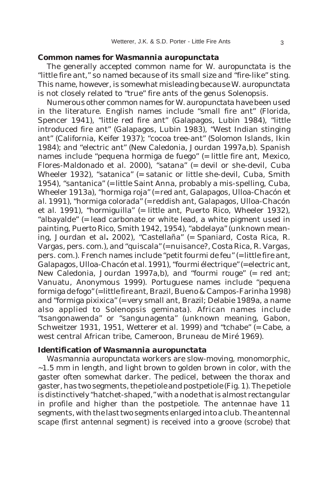#### **Common names for** *Wasmannia auropunctata*

The generally accepted common name for *W. auropunctata* is the "little fire ant," so named because of its small size and "fire-like" sting. This name, however, is somewhat misleading because *W. auropunctata* is not closely related to "true" fire ants of the genus *Solenopsis*.

Numerous other common names for *W. auropunctata* have been used in the literature. English names include "small fire ant" (Florida, Spencer 1941), "little red fire ant" (Galapagos, Lubin 1984), "little introduced fire ant" (Galapagos, Lubin 1983), "West Indian stinging ant" (California, Keifer 1937); "cocoa tree-ant" (Solomon Islands, Ikin 1984); and "electric ant" (New Caledonia, Jourdan 1997a,b). Spanish names include "pequena hormiga de fuego" (= little fire ant, Mexico, Flores-Maldonado *et al.* 2000), "satana" (= devil or she-devil, Cuba Wheeler 1932), "satanica" (= satanic or little she-devil, Cuba, Smith 1954), "santanica" (= little Saint Anna, probably a mis-spelling, Cuba, Wheeler 1913a), "hormiga roja" (= red ant, Galapagos, Ulloa-Chacón *et al.* 1991), "hormiga colorada" (= reddish ant, Galapagos, Ulloa-Chacón *et al.* 1991), "hormiguilla" (= little ant, Puerto Rico, Wheeler 1932), "albayalde" (= lead carbonate or white lead, a white pigment used in painting, Puerto Rico, Smith 1942, 1954), "abdelaya" (unknown meaning, Jourdan *et al.* 2002), "Castellaña" (= Spaniard, Costa Rica, R. Vargas, pers. com.), and "quiscala" (= nuisance?, Costa Rica, R. Vargas, pers. com.). French names include "petit fourmi de feu" (= little fire ant, Galapagos, Ulloa-Chacón *et al.* 1991), "fourmi électrique" (= electric ant, New Caledonia, Jourdan 1997a,b), and "fourmi rouge" (= red ant; Vanuatu, Anonymous 1999). Portuguese names include "pequena formiga de fogo" (= little fire ant, Brazil, Bueno & Campos-Farinha 1998) and "formiga pixixica" (= very small ant, Brazil; Delabie 1989a, a name also applied to *Solenopsis geminata*). African names include "tsangonawenda" or "sangunagenta" (unknown meaning, Gabon, Schweitzer 1931, 1951, Wetterer *et al.* 1999) and "tchabe" (= Cabe, a west central African tribe, Cameroon, Bruneau de Miré 1969).

### **Identification of** *Wasmannia auropunctata*

*Wasmannia auropunctata* workers are slow-moving, monomorphic,  $\sim$ 1.5 mm in length, and light brown to golden brown in color, with the gaster often somewhat darker. The pedicel, between the thorax and gaster, has two segments, the petiole and postpetiole (Fig. 1). The petiole is distinctively "hatchet-shaped," with a node that is almost rectangular in profile and higher than the postpetiole. The antennae have 11 segments, with the last two segments enlarged into a club. The antennal scape (first antennal segment) is received into a groove (scrobe) that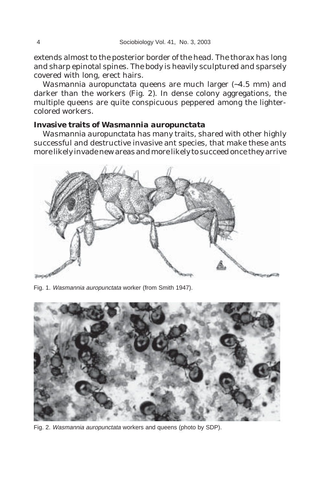extends almost to the posterior border of the head. The thorax has long and sharp epinotal spines. The body is heavily sculptured and sparsely covered with long, erect hairs.

*Wasmannia auropunctata* queens are much larger (~4.5 mm) and darker than the workers (Fig. 2). In dense colony aggregations, the multiple queens are quite conspicuous peppered among the lightercolored workers.

## **Invasive traits of** *Wasmannia auropunctata*

*Wasmannia auropunctata* has many traits, shared with other highly successful and destructive invasive ant species, that make these ants more likely invade new areas and more likely to succeed once they arrive



Fig. 1. Wasmannia auropunctata worker (from Smith 1947).



Fig. 2. Wasmannia auropunctata workers and queens (photo by SDP).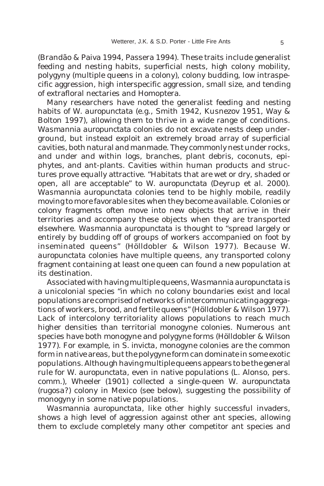(Brandão & Paiva 1994, Passera 1994). These traits include generalist feeding and nesting habits, superficial nests, high colony mobility, polygyny (multiple queens in a colony), colony budding, low intraspecific aggression, high interspecific aggression, small size, and tending of extrafloral nectaries and Homoptera.

Many researchers have noted the generalist feeding and nesting habits of *W. auropunctata* (e.g., Smith 1942, Kusnezov 1951, Way & Bolton 1997), allowing them to thrive in a wide range of conditions. *Wasmannia auropunctata* colonies do not excavate nests deep underground, but instead exploit an extremely broad array of superficial cavities, both natural and manmade. They commonly nest under rocks, and under and within logs, branches, plant debris, coconuts, epiphytes, and ant-plants. Cavities within human products and structures prove equally attractive. "Habitats that are wet or dry, shaded or open, all are acceptable" to *W. auropunctata* (Deyrup *et al*. 2000). *Wasmannia auropunctata* colonies tend to be highly mobile, readily moving to more favorable sites when they become available. Colonies or colony fragments often move into new objects that arrive in their territories and accompany these objects when they are transported elsewhere. *Wasmannia auropunctata* is thought to "spread largely or entirely by budding off of groups of workers accompanied on foot by inseminated queens" (Hölldobler & Wilson 1977). Because *W. auropunctata* colonies have multiple queens, any transported colony fragment containing at least one queen can found a new population at its destination.

Associated with having multiple queens, *Wasmannia auropunctata* is a unicolonial species "in which no colony boundaries exist and local populations are comprised of networks of intercommunicating aggregations of workers, brood, and fertile queens" (Hölldobler & Wilson 1977). Lack of intercolony territoriality allows populations to reach much higher densities than territorial monogyne colonies. Numerous ant species have both monogyne and polygyne forms (Hölldobler & Wilson 1977). For example, in *S. invicta*, monogyne colonies are the common form in native areas, but the polygyne form can dominate in some exotic populations. Although having multiple queens appears to be the general rule for *W. auropunctata*, even in native populations (L. Alonso, pers. comm.), Wheeler (1901) collected a single-queen *W. auropunctata* (*rugosa*?) colony in Mexico (see below), suggesting the possibility of monogyny in some native populations.

*Wasmannia auropunctata*, like other highly successful invaders, shows a high level of aggression against other ant species, allowing them to exclude completely many other competitor ant species and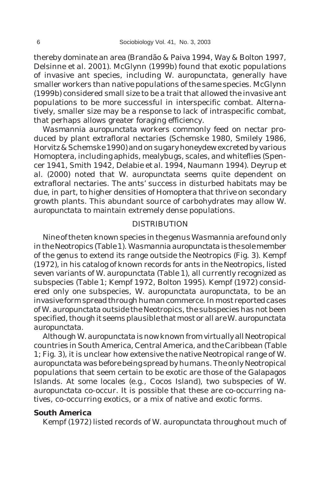thereby dominate an area (Brandão & Paiva 1994, Way & Bolton 1997, Delsinne *et al*. 2001). McGlynn (1999b) found that exotic populations of invasive ant species, including *W. auropunctata*, generally have smaller workers than native populations of the same species. McGlynn (1999b) considered small size to be a trait that allowed the invasive ant populations to be more successful in interspecific combat. Alternatively, smaller size may be a response to lack of intraspecific combat, that perhaps allows greater foraging efficiency.

*Wasmannia auropunctata* workers commonly feed on nectar produced by plant extrafloral nectaries (Schemske 1980, Smilely 1986, Horvitz & Schemske 1990) and on sugary honeydew excreted by various Homoptera, including aphids, mealybugs, scales, and whiteflies (Spencer 1941, Smith 1942, Delabie *et al.* 1994, Naumann 1994). Deyrup *et al.* (2000) noted that *W. auropunctata* seems quite dependent on extrafloral nectaries. The ants' success in disturbed habitats may be due, in part, to higher densities of Homoptera that thrive on secondary growth plants. This abundant source of carbohydrates may allow *W. auropunctata* to maintain extremely dense populations.

#### DISTRIBUTION

Nine of the ten known species in the genus *Wasmannia* are found only in the Neotropics (Table 1). *Wasmannia auropunctata* is the sole member of the genus to extend its range outside the Neotropics (Fig. 3). Kempf (1972), in his catalog of known records for ants in the Neotropics, listed seven variants of *W. auropunctata* (Table 1), all currently recognized as subspecies (Table 1; Kempf 1972, Bolton 1995). Kempf (1972) considered only one subspecies, *W. auropunctata auropunctata*, to be an invasive form spread through human commerce. In most reported cases of *W. auropunctata* outside the Neotropics, the subspecies has not been specified, though it seems plausible that most or all are *W. auropunctata auropunctata*.

Although *W. auropunctata* is now known from virtually all Neotropical countries in South America, Central America, and the Caribbean (Table 1; Fig. 3), it is unclear how extensive the native Neotropical range of *W. auropunctata* was before being spread by humans. The only Neotropical populations that seem certain to be exotic are those of the Galapagos Islands. At some locales (e.g., Cocos Island), two subspecies of *W. auropunctata* co-occur. It is possible that these are co-occurring natives, co-occurring exotics, or a mix of native and exotic forms.

#### **South America**

Kempf (1972) listed records of *W. auropunctata* throughout much of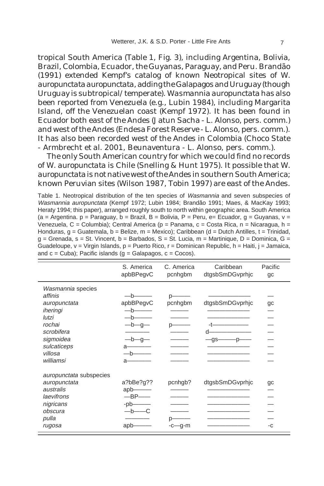tropical South America (Table 1, Fig. 3), including Argentina, Bolivia, Brazil, Colombia, Ecuador, the Guyanas, Paraguay, and Peru. Brandão (1991) extended Kempf's catalog of known Neotropical sites of *W. auropunctata auropunctata*, adding the Galapagos and Uruguay (though Uruguay is subtropical/temperate). *Wasmannia auropunctata* has also been reported from Venezuela (e.g., Lubin 1984), including Margarita Island, off the Venezuelan coast (Kempf 1972). It has been found in Ecuador both east of the Andes (Jatun Sacha - L. Alonso, pers. comm.) and west of the Andes (Endesa Forest Reserve - L. Alonso, pers. comm.). It has also been recorded west of the Andes in Colombia (Choco State - Armbrecht *et al.* 2001, Beunaventura - L. Alonso, pers. comm.).

The only South American country for which we could find no records of *W. auropunctata* is Chile (Snelling & Hunt 1975). It possible that *W. auropunctata* is not native west of the Andes in southern South America; known Peruvian sites (Wilson 1987, Tobin 1997) are east of the Andes.

Table 1. Neotropical distribution of the ten species of Wasmannia and seven subspecies of Wasmannia auropunctata (Kempf 1972; Lubin 1984; Brandão 1991; Maes, & MacKay 1993; Heraty 1994; this paper), arranged roughly south to north within geographic area. South America  $(a = Argentina, p = Paraguay, b = Brazil, B = Bolivia, P = Peru, e = Ecuador, g = Guyanas, v =$ Venezuela, C = Columbia); Central America (p = Panama, c = Costa Rica, n = Nicaragua, h = Honduras,  $q =$  Guatemala,  $b =$  Belize,  $m =$  Mexico); Caribbean (d = Dutch Antilles, t = Trinidad,  $q =$  Grenada,  $s =$  St. Vincent,  $b =$  Barbados,  $S =$  St. Lucia,  $m =$  Martinique,  $D =$  Dominica,  $G =$ Guadeloupe,  $v = V$ irgin Islands,  $p =$  Puerto Rico,  $r =$  Dominican Republic,  $h =$  Haiti,  $i = J$ amaica, and  $c =$  Cuba); Pacific islands ( $q =$  Galapagos,  $c =$  Cocos).

|                                                                                                                                               | S. America<br>apbBPegvC                                           | C. America<br>pcnhgbm | Caribbean<br>dtgsbSmDGvprhjc     | Pacific<br>gc |
|-----------------------------------------------------------------------------------------------------------------------------------------------|-------------------------------------------------------------------|-----------------------|----------------------------------|---------------|
| Wasmannia species<br>affinis<br>auropunctata<br>iheringi<br>lutzi<br>rochai<br>scrobifera<br>sigmoidea<br>sulcaticeps<br>villosa<br>williamsi | apbBPegvC<br>-h-<br>-b—g—<br>-b—g—<br>a<br>a-                     | pcnhgbm               | dtgsbSmDGvprhjc<br>-gs—<br>$-p-$ | gc            |
| auropunctata subspecies<br>auropunctata<br>australis<br>laevifrons<br>nigricans<br>obscura<br>pulla<br>rugosa                                 | a?bBe?g??<br>$apb$ ——<br>$-BP$ —<br>$-pb$ —<br>$-h$ ——C<br>$apb-$ | pcnhgb?<br>-c—g-m     | dtgsbSmDGvprhjc                  | gc<br>-C      |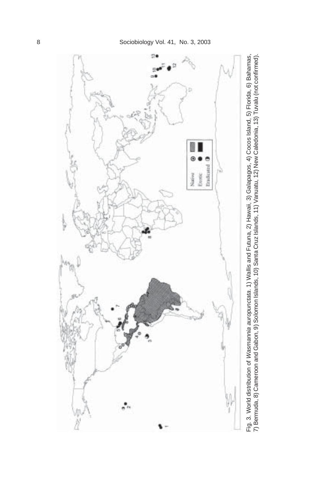

Fig. 3. World distribution of *Wasmannia auropunctata.* 1) Wallis and Futuna, 2) Hawaii, 3) Galapagos, 4) Cocos Island, 5) Florida, 6) Bahamas,<br>7) Bermuda, 8) Cameroon and Gabon, 9) Solomon Islands, 10) Santa Cruz Islands, 7) Bermuda, 8) Cameroon and Gabon, 9) Solomon Islands, 10) Santa Cruz Islands, 11) Vanuatu, 12) New Caledonia, 13) Tuvalu (not confirmed).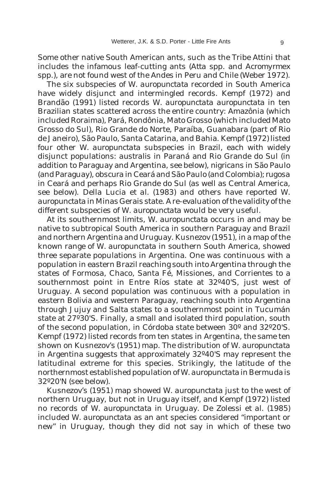Some other native South American ants, such as the Tribe Attini that includes the infamous leaf-cutting ants (*Atta* spp. and *Acromyrmex* spp.), are not found west of the Andes in Peru and Chile (Weber 1972).

The six subspecies of *W. auropunctata* recorded in South America have widely disjunct and intermingled records. Kempf (1972) and Brandão (1991) listed records *W. auropunctata auropunctata* in ten Brazilian states scattered across the entire country: Amazônia (which included Roraima), Pará, Rondônia, Mato Grosso (which included Mato Grosso do Sul), Rio Grande do Norte, Paraíba, Guanabara (part of Rio de Janeiro), São Paulo, Santa Catarina, and Bahia. Kempf (1972) listed four other *W. auropunctata* subspecies in Brazil, each with widely disjunct populations: *australis* in Paraná and Rio Grande do Sul (in addition to Paraguay and Argentina, see below), *nigricans* in São Paulo (and Paraguay), *obscura* in Ceará and São Paulo (and Colombia); *rugosa* in Ceará and perhaps Rio Grande do Sul (as well as Central America, see below). Della Lucia *et al.* (1983) and others have reported *W. auropunctata* in Minas Gerais state. A re-evaluation of the validity of the different subspecies of *W. auropunctata* would be very useful.

At its southernmost limits, *W. auropunctata* occurs in and may be native to subtropical South America in southern Paraguay and Brazil and northern Argentina and Uruguay. Kusnezov (1951), in a map of the known range of *W. auropunctata* in southern South America, showed three separate populations in Argentina. One was continuous with a population in eastern Brazil reaching south into Argentina through the states of Formosa, Chaco, Santa Fé, Missiones, and Corrientes to a southernmost point in Entre Ríos state at 32º40'S, just west of Uruguay. A second population was continuous with a population in eastern Bolivia and western Paraguay, reaching south into Argentina through Jujuy and Salta states to a southernmost point in Tucumán state at 27º30'S. Finally, a small and isolated third population, south of the second population, in Córdoba state between 30º and 32º20'S. Kempf (1972) listed records from ten states in Argentina, the same ten shown on Kusnezov's (1951) map. The distribution of *W. auropunctata* in Argentina suggests that approximately 32º40'S may represent the latitudinal extreme for this species. Strikingly, the latitude of the northernmost established population of *W. auropunctata* in Bermuda is 32º20'N (see below).

Kusnezov's (1951) map showed *W. auropunctata* just to the west of northern Uruguay, but not in Uruguay itself, and Kempf (1972) listed no records of *W. auropunctata* in Uruguay. De Zolessi *et al.* (1985) included *W. auropunctata* as an ant species considered "important or new" in Uruguay, though they did not say in which of these two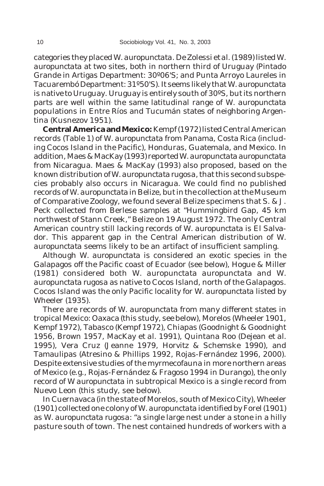categories they placed *W. auropunctata*. De Zolessi *et al.* (1989) listed *W. auropunctata* at two sites, both in northern third of Uruguay (Pintado Grande in Artigas Department: 30º06'S; and Punta Arroyo Laureles in Tacuarembó Department: 31º50'S). It seems likely that *W. auropunctata* is native to Uruguay. Uruguay is entirely south of 30ºS, but its northern parts are well within the same latitudinal range of *W. auropunctata* populations in Entre Ríos and Tucumán states of neighboring Argentina (Kusnezov 1951).

**Central America and Mexico:** Kempf (1972) listed Central American records (Table 1) of *W. auropunctata* from Panama, Costa Rica (including Cocos Island in the Pacific), Honduras, Guatemala, and Mexico. In addition, Maes & MacKay (1993) reported *W. auropunctata auropunctata* from Nicaragua. Maes & MacKay (1993) also proposed, based on the known distribution of *W. auropunctata rugosa*, that this second subspecies probably also occurs in Nicaragua. We could find no published records of *W. auropunctata* in Belize, but in the collection at the Museum of Comparative Zoology, we found several Belize specimens that S. & J. Peck collected from Berlese samples at "Hummingbird Gap, 45 km northwest of Stann Creek," Belize on 19 August 1972. The only Central American country still lacking records of *W. auropunctata* is El Salvador. This apparent gap in the Central American distribution of *W. auropunctata* seems likely to be an artifact of insufficient sampling.

Although *W. auropunctata* is considered an exotic species in the Galapagos off the Pacific coast of Ecuador (see below), Hogue & Miller (1981) considered both *W. auropunctata auropunctata* and *W. auropunctata rugosa* as native to Cocos Island, north of the Galapagos. Cocos Island was the only Pacific locality for *W. auropunctata* listed by Wheeler (1935).

There are records of *W. auropunctata* from many different states in tropical Mexico: Oaxaca (this study, see below), Morelos (Wheeler 1901, Kempf 1972), Tabasco (Kempf 1972), Chiapas (Goodnight & Goodnight 1956, Brown 1957, MacKay *et al.* 1991), Quintana Roo (Dejean *et al.* 1995), Vera Cruz (Jeanne 1979, Horvitz & Schemske 1990), and Tamaulipas (Atresino & Phillips 1992, Rojas-Fernández 1996, 2000). Despite extensive studies of the myrmecofauna in more northern areas of Mexico (e.g., Rojas-Fernández & Fragoso 1994 in Durango), the only record of *W auropunctata* in subtropical Mexico is a single record from Nuevo Leon (this study, see below).

In Cuernavaca (in the state of Morelos, south of Mexico City), Wheeler (1901) collected one colony of *W. auropunctata* identified by Forel (1901) as *W. auropunctata rugosa*: "a single large nest under a stone in a hilly pasture south of town. The nest contained hundreds of workers with a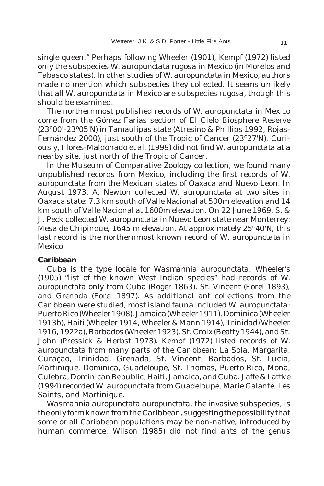single queen." Perhaps following Wheeler (1901), Kempf (1972) listed only the subspecies *W. auropunctata rugosa* in Mexico (in Morelos and Tabasco states). In other studies of *W. auropunctata* in Mexico, authors made no mention which subspecies they collected. It seems unlikely that all *W. auropunctata* in Mexico are subspecies *rugosa*, though this should be examined.

The northernmost published records of *W. auropunctata* in Mexico come from the Gómez Farías section of El Cielo Biosphere Reserve (23º00'-23º05'N) in Tamaulipas state (Atresino & Phillips 1992, Rojas-Fernández 2000), just south of the Tropic of Cancer (23º27'N). Curiously, Flores-Maldonado *et al.* (1999) did not find *W. auropunctata* at a nearby site, just north of the Tropic of Cancer.

In the Museum of Comparative Zoology collection, we found many unpublished records from Mexico, including the first records of *W. auropunctata* from the Mexican states of Oaxaca and Nuevo Leon. In August 1973, A. Newton collected *W. auropunctata* at two sites in Oaxaca state: 7.3 km south of Valle Nacional at 500m elevation and 14 km south of Valle Nacional at 1600m elevation. On 22 June 1969, S. & J. Peck collected *W. auropunctata* in Nuevo Leon state near Monterrey: Mesa de Chipinque, 1645 m elevation. At approximately 25º40'N, this last record is the northernmost known record of *W. auropunctata* in Mexico.

#### **Caribbean**

Cuba is the type locale for *Wasmannia auropunctata*. Wheeler's (1905) "list of the known West Indian species" had records of *W. auropunctata* only from Cuba (Roger 1863), St. Vincent (Forel 1893), and Grenada (Forel 1897). As additional ant collections from the Caribbean were studied, most island fauna included *W. auropunctata*: Puerto Rico (Wheeler 1908), Jamaica (Wheeler 1911), Dominica (Wheeler 1913b), Haiti (Wheeler 1914, Wheeler & Mann 1914), Trinidad (Wheeler 1916, 1922a), Barbados (Wheeler 1923), St. Croix (Beatty 1944), and St. John (Pressick & Herbst 1973). Kempf (1972) listed records of *W. auropunctata* from many parts of the Caribbean: La Sola, Margarita, Curaçao, Trinidad, Grenada, St. Vincent, Barbados, St. Lucia, Martinique, Dominica, Guadeloupe, St. Thomas, Puerto Rico, Mona, Culebra, Dominican Republic, Haiti, Jamaica, and Cuba. Jaffe & Lattke (1994) recorded *W. auropunctata* from Guadeloupe, Marie Galante, Les Saints, and Martinique.

*Wasmannia auropunctata auropunctata*, the invasive subspecies, is the only form known from the Caribbean, suggesting the possibility that some or all Caribbean populations may be non-native, introduced by human commerce. Wilson (1985) did not find ants of the genus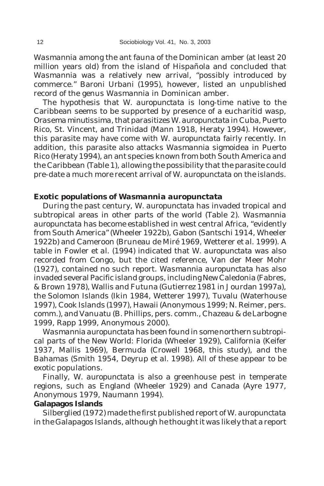*Wasmannia* among the ant fauna of the Dominican amber (at least 20 million years old) from the island of Hispañola and concluded that *Wasmannia* was a relatively new arrival, "possibly introduced by commerce." Baroni Urbani (1995), however, listed an unpublished record of the genus *Wasmannia* in Dominican amber.

The hypothesis that *W. auropunctata* is long-time native to the Caribbean seems to be supported by presence of a eucharitid wasp, *Orasema minutissima*, that parasitizes *W. auropunctata* in Cuba, Puerto Rico, St. Vincent, and Trinidad (Mann 1918, Heraty 1994). However, this parasite may have come with *W. auropunctata* fairly recently. In addition, this parasite also attacks *Wasmannia sigmoidea* in Puerto Rico (Heraty 1994), an ant species known from both South America and the Caribbean (Table 1), allowing the possibility that the parasite could pre-date a much more recent arrival of *W. auropunctata* on the islands.

## **Exotic populations of** *Wasmannia auropunctata*

During the past century, *W. auropunctata* has invaded tropical and subtropical areas in other parts of the world (Table 2). *Wasmannia auropunctata* has become established in west central Africa, "evidently from South America" (Wheeler 1922b), Gabon (Santschi 1914, Wheeler 1922b) and Cameroon (Bruneau de Miré 1969, Wetterer *et al*. 1999). A table in Fowler *et al*. (1994) indicated that *W. auropunctata* was also recorded from Congo, but the cited reference, Van der Meer Mohr (1927), contained no such report. *Wasmannia auropunctata* has also invaded several Pacific island groups, including New Caledonia (Fabres, & Brown 1978), Wallis and Futuna (Gutierrez 1981 in Jourdan 1997a), the Solomon Islands (Ikin 1984, Wetterer 1997), Tuvalu (Waterhouse 1997), Cook Islands (1997), Hawaii (Anonymous 1999; N. Reimer, pers. comm.), and Vanuatu (B. Phillips, pers. comm., Chazeau & de Larbogne 1999, Rapp 1999, Anonymous 2000).

*Wasmannia auropunctata* has been found in some northern subtropical parts of the New World: Florida (Wheeler 1929), California (Keifer 1937, Mallis 1969), Bermuda (Crowell 1968, this study), and the Bahamas (Smith 1954, Deyrup *et al.* 1998). All of these appear to be exotic populations.

Finally, *W. auropunctata* is also a greenhouse pest in temperate regions, such as England (Wheeler 1929) and Canada (Ayre 1977, Anonymous 1979, Naumann 1994).

### **Galapagos Islands**

Silberglied (1972) made the first published report of *W. auropunctata* in the Galapagos Islands, although he thought it was likely that a report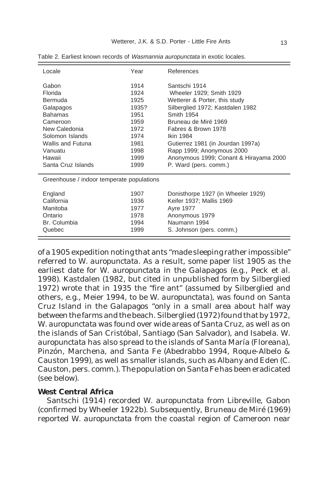| Locale                                    | Year  | References                             |  |  |
|-------------------------------------------|-------|----------------------------------------|--|--|
| Gabon                                     | 1914  | Santschi 1914                          |  |  |
| Florida                                   | 1924  | Wheeler 1929; Smith 1929               |  |  |
| Bermuda                                   | 1925  | Wetterer & Porter, this study          |  |  |
| Galapagos                                 | 1935? | Silberglied 1972; Kastdalen 1982       |  |  |
| <b>Bahamas</b>                            | 1951  | Smith 1954                             |  |  |
| Cameroon                                  | 1959  | Bruneau de Miré 1969                   |  |  |
| New Caledonia                             | 1972  | Fabres & Brown 1978                    |  |  |
| Solomon Islands                           | 1974  | Ikin 1984                              |  |  |
| Wallis and Futuna                         | 1981  | Gutierrez 1981 (in Jourdan 1997a)      |  |  |
| Vanuatu                                   | 1998  | Rapp 1999; Anonymous 2000              |  |  |
| Hawaii                                    | 1999  | Anonymous 1999; Conant & Hirayama 2000 |  |  |
| Santa Cruz Islands                        | 1999  | P. Ward (pers. comm.)                  |  |  |
| Greenhouse / indoor temperate populations |       |                                        |  |  |
| England                                   | 1907  | Donisthorpe 1927 (in Wheeler 1929)     |  |  |
| California                                | 1936  | Keifer 1937; Mallis 1969               |  |  |
| Manitoba                                  | 1977  | <b>Ayre 1977</b>                       |  |  |
| Ontario                                   | 1978  | Anonymous 1979                         |  |  |
| Br. Columbia                              | 1994  | Naumann 1994                           |  |  |
| Quebec                                    | 1999  | S. Johnson (pers. comm.)               |  |  |

Table 2. Earliest known records of Wasmannia auropunctata in exotic locales.

of a 1905 expedition noting that ants "made sleeping rather impossible" referred to *W. auropunctata*. As a result, some paper list 1905 as the earliest date for *W. auropunctata* in the Galapagos (e.g., Peck *et al*. 1998). Kastdalen (1982, but cited in unpublished form by Silberglied 1972) wrote that in 1935 the "fire ant" (assumed by Silberglied and others, e.g., Meier 1994, to be *W. auropunctata*), was found on Santa Cruz Island in the Galapagos "only in a small area about half way between the farms and the beach. Silberglied (1972) found that by 1972, *W. auropunctata* was found over wide areas of Santa Cruz, as well as on the islands of San Cristóbal, Santiago (San Salvador), and Isabela. *W. auropunctata* has also spread to the islands of Santa María (Floreana), Pinzón, Marchena, and Santa Fe (Abedrabbo 1994, Roque-Albelo & Causton 1999), as well as smaller islands, such as Albany and Eden (C. Causton, pers. comm.). The population on Santa Fe has been eradicated (see below).

## **West Central Africa**

Santschi (1914) recorded *W. auropunctata* from Libreville, Gabon (confirmed by Wheeler 1922b). Subsequently, Bruneau de Miré (1969) reported *W. auropunctata* from the coastal region of Cameroon near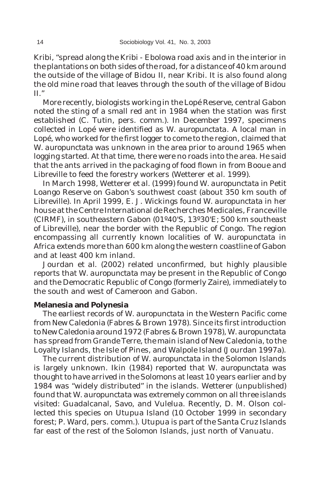Kribi, "spread along the Kribi - Ebolowa road axis and in the interior in the plantations on both sides of the road, for a distance of 40 km around the outside of the village of Bidou II, near Kribi. It is also found along the old mine road that leaves through the south of the village of Bidou II."

More recently, biologists working in the Lopé Reserve, central Gabon noted the sting of a small red ant in 1984 when the station was first established (C. Tutin, pers. comm.). In December 1997, specimens collected in Lopé were identified as *W. auropunctata*. A local man in Lopé, who worked for the first logger to come to the region, claimed that *W. auropunctata* was unknown in the area prior to around 1965 when logging started. At that time, there were no roads into the area. He said that the ants arrived in the packaging of food flown in from Booue and Libreville to feed the forestry workers (Wetterer *et al.* 1999).

In March 1998, Wetterer *et al*. (1999) found *W. auropunctata* in Petit Loango Reserve on Gabon's southwest coast (about 350 km south of Libreville). In April 1999, E. J. Wickings found *W. auropunctata* in her house at the Centre International de Recherches Medicales, Franceville (CIRMF), in southeastern Gabon (01º40'S, 13º30'E; 500 km southeast of Libreville), near the border with the Republic of Congo. The region encompassing all currently known localities of *W. auropunctata* in Africa extends more than 600 km along the western coastline of Gabon and at least 400 km inland.

Jourdan *et al.* (2002) related unconfirmed, but highly plausible reports that *W. auropunctata* may be present in the Republic of Congo and the Democratic Republic of Congo (formerly Zaire), immediately to the south and west of Cameroon and Gabon.

### **Melanesia and Polynesia**

The earliest records of *W. auropunctata* in the Western Pacific come from New Caledonia (Fabres & Brown 1978). Since its first introduction to New Caledonia around 1972 (Fabres & Brown 1978), *W. auropunctata* has spread from Grande Terre, the main island of New Caledonia, to the Loyalty Islands, the Isle of Pines, and Walpole Island (Jourdan 1997a).

The current distribution of *W. auropunctata* in the Solomon Islands is largely unknown. Ikin (1984) reported that *W. auropunctata* was thought to have arrived in the Solomons at least 10 years earlier and by 1984 was "widely distributed" in the islands. Wetterer (unpublished) found that *W. auropunctata* was extremely common on all three islands visited: Guadalcanal, Savo, and Vulelua. Recently, D. M. Olson collected this species on Utupua Island (10 October 1999 in secondary forest; P. Ward, pers. comm.). Utupua is part of the Santa Cruz Islands far east of the rest of the Solomon Islands, just north of Vanuatu.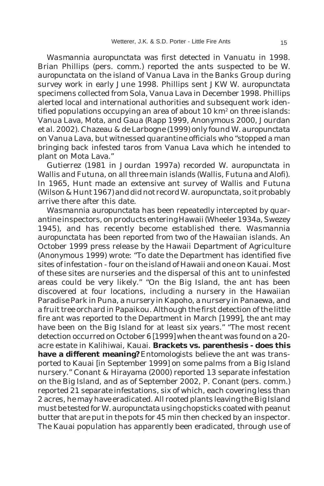*Wasmannia auropunctata* was first detected in Vanuatu in 1998. Brian Phillips (pers. comm.) reported the ants suspected to be *W. auropunctata* on the island of Vanua Lava in the Banks Group during survey work in early June 1998. Phillips sent JKW *W. auropunctata* specimens collected from Sola, Vanua Lava in December 1998. Phillips alerted local and international authorities and subsequent work identified populations occupying an area of about 10 km<sup>2</sup> on three islands: Vanua Lava, Mota, and Gaua (Rapp 1999, Anonymous 2000, Jourdan *et al.* 2002). Chazeau & de Larbogne (1999) only found *W. auropunctata* on Vanua Lava, but witnessed quarantine officials who "stopped a man bringing back infested taros from Vanua Lava which he intended to plant on Mota Lava."

Gutierrez (1981 in Jourdan 1997a) recorded *W. auropunctata* in Wallis and Futuna, on all three main islands (Wallis, Futuna and Alofi). In 1965, Hunt made an extensive ant survey of Wallis and Futuna (Wilson & Hunt 1967) and did not record *W. auropunctata*, so it probably arrive there after this date.

*Wasmannia auropunctata* has been repeatedly intercepted by quarantine inspectors, on products entering Hawaii (Wheeler 1934a, Swezey 1945), and has recently become established there. *Wasmannia auropunctata* has been reported from two of the Hawaiian islands. An October 1999 press release by the Hawaii Department of Agriculture (Anonymous 1999) wrote: "To date the Department has identified five sites of infestation - four on the island of Hawaii and one on Kauai. Most of these sites are nurseries and the dispersal of this ant to uninfested areas could be very likely." "On the Big Island, the ant has been discovered at four locations, including a nursery in the Hawaiian Paradise Park in Puna, a nursery in Kapoho, a nursery in Panaewa, and a fruit tree orchard in Papaikou. Although the first detection of the little fire ant was reported to the Department in March [1999], the ant may have been on the Big Island for at least six years." "The most recent detection occurred on October 6 [1999] when the ant was found on a 20 acre estate in Kalihiwai, Kauai. **Brackets vs. parenthesis - does this have a different meaning?**Entomologists believe the ant was transported to Kauai [in September 1999] on some palms from a Big Island nursery." Conant & Hirayama (2000) reported 13 separate infestation on the Big Island, and as of September 2002, P. Conant (pers. comm.) reported 21 separate infestations, six of which, each covering less than 2 acres, he may have eradicated. All rooted plants leaving the Big Island must be tested for *W. auropunctata* using chopsticks coated with peanut butter that are put in the pots for 45 min then checked by an inspector. The Kauai population has apparently been eradicated, through use of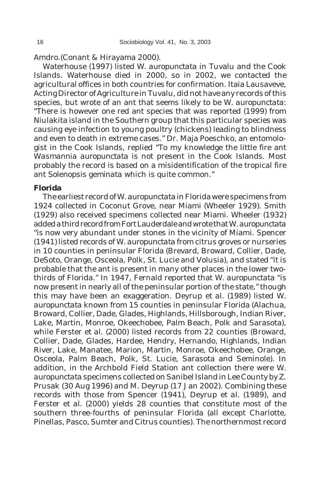Amdro.(Conant & Hirayama 2000).

Waterhouse (1997) listed *W. auropunctata* in Tuvalu and the Cook Islands. Waterhouse died in 2000, so in 2002, we contacted the agricultural offices in both countries for confirmation. Itaia Lausaveve, Acting Director of Agriculture in Tuvalu, did not have any records of this species, but wrote of an ant that seems likely to be *W. auropunctata*: "There is however one red ant species that was reported (1999) from Niulakita island in the Southern group that this particular species was causing eye infection to young poultry (chickens) leading to blindness and even to death in extreme cases." Dr. Maja Poeschko, an entomologist in the Cook Islands, replied "To my knowledge the little fire ant *Wasmannia auropunctata* is not present in the Cook Islands. Most probably the record is based on a misidentification of the tropical fire ant *Solenopsis geminata* which is quite common."

## **Florida**

The earliest record of *W. auropunctata* in Florida were specimens from 1924 collected in Coconut Grove, near Miami (Wheeler 1929). Smith (1929) also received specimens collected near Miami. Wheeler (1932) added a third record from Fort Lauderdale and wrote that *W. auropunctata* "is now very abundant under stones in the vicinity of Miami. Spencer (1941) listed records of *W. auropunctata* from citrus groves or nurseries in 10 counties in peninsular Florida (Brevard, Broward, Collier, Dade, DeSoto, Orange, Osceola, Polk, St. Lucie and Volusia), and stated "it is probable that the ant is present in many other places in the lower twothirds of Florida." In 1947, Fernald reported that *W. auropunctata* "is now present in nearly all of the peninsular portion of the state," though this may have been an exaggeration. Deyrup *et al.* (1989) listed *W. auropunctata* known from 15 counties in peninsular Florida (Alachua, Broward, Collier, Dade, Glades, Highlands, Hillsborough, Indian River, Lake, Martin, Monroe, Okeechobee, Palm Beach, Polk and Sarasota), while Ferster *et al.* (2000) listed records from 22 counties (Broward, Collier, Dade, Glades, Hardee, Hendry, Hernando, Highlands, Indian River, Lake, Manatee, Marion, Martin, Monroe, Okeechobee, Orange, Osceola, Palm Beach, Polk, St. Lucie, Sarasota and Seminole). In addition, in the Archbold Field Station ant collection there were *W. auropunctata* specimens collected on Sanibel Island in Lee County by Z. Prusak (30 Aug 1996) and M. Deyrup (17 Jan 2002). Combining these records with those from Spencer (1941), Deyrup *et al.* (1989), and Ferster *et al.* (2000) yields 28 counties that constitute most of the southern three-fourths of peninsular Florida (all except Charlotte, Pinellas, Pasco, Sumter and Citrus counties). The northernmost record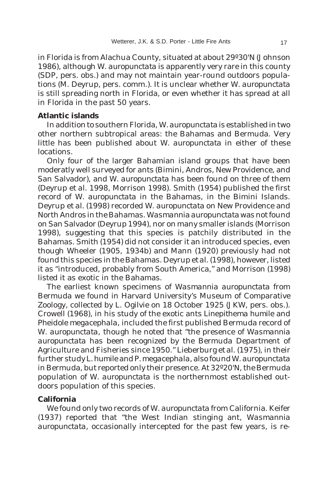in Florida is from Alachua County, situated at about 29º30'N (Johnson 1986), although *W. auropunctata* is apparently very rare in this county (SDP, pers. obs.) and may not maintain year-round outdoors populations (M. Deyrup, pers. comm.). It is unclear whether *W. auropunctata* is still spreading north in Florida, or even whether it has spread at all in Florida in the past 50 years.

## **Atlantic islands**

In addition to southern Florida, *W. auropunctata* is established in two other northern subtropical areas: the Bahamas and Bermuda. Very little has been published about *W. auropunctata* in either of these locations.

Only four of the larger Bahamian island groups that have been moderatly well surveyed for ants (Bimini, Andros, New Providence, and San Salvador), and *W. auropunctata* has been found on three of them (Deyrup *et al*. 1998, Morrison 1998). Smith (1954) published the first record of *W. auropunctata* in the Bahamas, in the Bimini Islands. Deyrup *et al.* (1998) recorded *W. auropunctata* on New Providence and North Andros in the Bahamas. *Wasmannia auropunctata* was not found on San Salvador (Deyrup 1994), nor on many smaller islands (Morrison 1998), suggesting that this species is patchily distributed in the Bahamas. Smith (1954) did not consider it an introduced species, even though Wheeler (1905, 1934b) and Mann (1920) previously had not found this species in the Bahamas*.* Deyrup *et al.* (1998), however, listed it as "introduced, probably from South America," and Morrison (1998) listed it as exotic in the Bahamas.

The earliest known specimens of *Wasmannia auropunctata* from Bermuda we found in Harvard University's Museum of Comparative Zoology, collected by L. Ogilvie on 18 October 1925 (JKW, pers. obs.). Crowell (1968), in his study of the exotic ants *Linepithema humile* and *Pheidole megacephala*, included the first published Bermuda record of *W. auropunctata*, though he noted that "the presence of *Wasmannia auropunctata* has been recognized by the Bermuda Department of Agriculture and Fisheries since 1950." Lieberburg *et al.* (1975), in their further study *L. humile* and *P. megacephala*, also found *W. auropunctata* in Bermuda, but reported only their presence. At 32º20'N, the Bermuda population of *W. auropunctata* is the northernmost established outdoors population of this species.

## **California**

We found only two records of *W. auropunctata* from California. Keifer (1937) reported that "the West Indian stinging ant, *Wasmannia auropunctata*, occasionally intercepted for the past few years, is re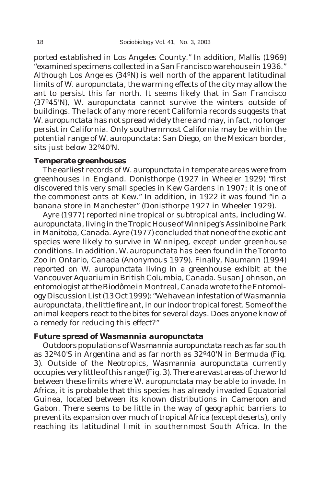ported established in Los Angeles County." In addition, Mallis (1969) "examined specimens collected in a San Francisco warehouse in 1936." Although Los Angeles (34ºN) is well north of the apparent latitudinal limits of *W. auropunctata*, the warming effects of the city may allow the ant to persist this far north. It seems likely that in San Francisco (37º45'N), *W. auropunctata* cannot survive the winters outside of buildings. The lack of any more recent California records suggests that *W. auropunctata* has not spread widely there and may, in fact, no longer persist in California. Only southernmost California may be within the potential range of *W. auropunctata*: San Diego, on the Mexican border, sits just below 32º40'N.

#### **Temperate greenhouses**

The earliest records of *W. auropunctata* in temperate areas were from greenhouses in England. Donisthorpe (1927 in Wheeler 1929) "first discovered this very small species in Kew Gardens in 1907; it is one of the commonest ants at Kew." In addition, in 1922 it was found "in a banana store in Manchester" (Donisthorpe 1927 in Wheeler 1929).

Ayre (1977) reported nine tropical or subtropical ants, including *W. auropunctata*, living in the Tropic House of Winnipeg's Assiniboine Park in Manitoba, Canada. Ayre (1977) concluded that none of the exotic ant species were likely to survive in Winnipeg, except under greenhouse conditions. In addition, *W. auropunctata* has been found in the Toronto Zoo in Ontario, Canada (Anonymous 1979). Finally, Naumann (1994) reported on *W. auropunctata* living in a greenhouse exhibit at the Vancouver Aquarium in British Columbia, Canada. Susan Johnson, an entomologist at the Biodôme in Montreal, Canada wrote to the Entomology Discussion List (13 Oct 1999): "We have an infestation of *Wasmannia auropunctata*, the little fire ant, in our indoor tropical forest. Some of the animal keepers react to the bites for several days. Does anyone know of a remedy for reducing this effect?"

## **Future spread of** *Wasmannia auropunctata*

Outdoors populations of *Wasmannia auropunctata* reach as far south as 32º40'S in Argentina and as far north as 32º40'N in Bermuda (Fig. 3). Outside of the Neotropics, *Wasmannia auropunctata* currently occupies very little of this range (Fig. 3). There are vast areas of the world between these limits where *W. auropunctata* may be able to invade. In Africa, it is probable that this species has already invaded Equatorial Guinea, located between its known distributions in Cameroon and Gabon. There seems to be little in the way of geographic barriers to prevent its expansion over much of tropical Africa (except deserts), only reaching its latitudinal limit in southernmost South Africa. In the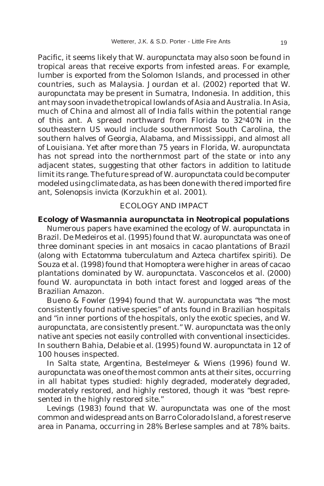Pacific, it seems likely that *W. auropunctata* may also soon be found in tropical areas that receive exports from infested areas. For example, lumber is exported from the Solomon Islands, and processed in other countries, such as Malaysia. Jourdan *et al.* (2002) reported that *W. auropunctata* may be present in Sumatra, Indonesia. In addition, this ant may soon invade the tropical lowlands of Asia and Australia. In Asia, much of China and almost all of India falls within the potential range of this ant. A spread northward from Florida to 32°40'N in the southeastern US would include southernmost South Carolina, the southern halves of Georgia, Alabama, and Mississippi, and almost all of Louisiana. Yet after more than 75 years in Florida, *W. auropunctata* has not spread into the northernmost part of the state or into any adjacent states, suggesting that other factors in addition to latitude limit its range. The future spread of *W. auropunctata* could be computer modeled using climate data, as has been done with the red imported fire ant, *Solenopsis invicta* (Korzukhin *et al.* 2001).

## ECOLOGY AND IMPACT

### **Ecology of** *Wasmannia auropunctata* **in Neotropical populations**

Numerous papers have examined the ecology of *W. auropunctata* in Brazil. De Medeiros *et al.* (1995) found that *W. auropunctata* was one of three dominant species in ant mosaics in cacao plantations of Brazil (along with *Ectatomma tuberculatum* and A*zteca chartifex spiriti*). De Souza *et al.* (1998) found that Homoptera were higher in areas of cacao plantations dominated by *W. auropunctata*. Vasconcelos *et al.* (2000) found *W. auropunctata* in both intact forest and logged areas of the Brazilian Amazon.

Bueno & Fowler (1994) found that *W. auropunctata* was "the most consistently found native species" of ants found in Brazilian hospitals and "in inner portions of the hospitals, only the exotic species, and *W. auropunctata*, are consistently present." *W. auropunctata* was the only native ant species not easily controlled with conventional insecticides. In southern Bahia, Delabie *et al.* (1995) found *W. auropunctata* in 12 of 100 houses inspected.

In Salta state, Argentina, Bestelmeyer & Wiens (1996) found *W. auropunctata* was one of the most common ants at their sites, occurring in all habitat types studied: highly degraded, moderately degraded, moderately restored, and highly restored, though it was "best represented in the highly restored site."

Levings (1983) found that *W. auropunctata* was one of the most common and widespread ants on Barro Colorado Island, a forest reserve area in Panama, occurring in 28% Berlese samples and at 78% baits.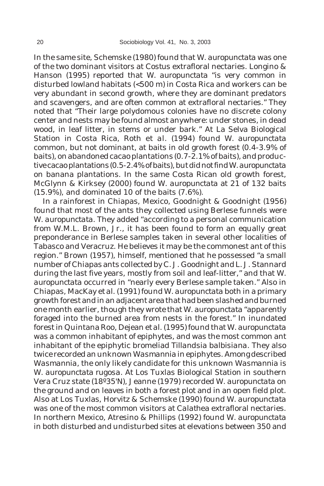In the same site, Schemske (1980) found that *W. auropunctata* was one of the two dominant visitors at *Costus* extrafloral nectaries. Longino & Hanson (1995) reported that *W. auropunctata* "is very common in disturbed lowland habitats (<500 m) in Costa Rica and workers can be very abundant in second growth, where they are dominant predators and scavengers, and are often common at extrafloral nectaries." They noted that "Their large polydomous colonies have no discrete colony center and nests may be found almost anywhere: under stones, in dead wood, in leaf litter, in stems or under bark." At La Selva Biological Station in Costa Rica, Roth *et al.* (1994) found *W. auropunctata* common, but not dominant, at baits in old growth forest (0.4-3.9% of baits), on abandoned cacao plantations (0.7-2.1% of baits), and productive cacao plantations (0.5-2.4% of baits), but did not find *W. auropunctata* on banana plantations. In the same Costa Rican old growth forest, McGlynn & Kirksey (2000) found *W. auropunctata* at 21 of 132 baits (15.9%), and dominated 10 of the baits (7.6%).

In a rainforest in Chiapas, Mexico, Goodnight & Goodnight (1956) found that most of the ants they collected using Berlese funnels were *W. auropunctata.* They added "according to a personal communication from W.M.L. Brown, Jr., it has been found to form an equally great preponderance in Berlese samples taken in several other localities of Tabasco and Veracruz. He believes it may be the commonest ant of this region." Brown (1957), himself, mentioned that he possessed "a small number of Chiapas ants collected by C. J. Goodnight and L. J. Stannard during the last five years, mostly from soil and leaf-litter," and that *W. auropunctata* occurred in "nearly every Berlese sample taken." Also in Chiapas, MacKay *et al.* (1991) found *W. auropunctata* both in a primary growth forest and in an adjacent area that had been slashed and burned one month earlier, though they wrote that *W. auropunctata* "apparently foraged into the burned area from nests in the forest." In inundated forest in Quintana Roo, Dejean *et al.* (1995) found that *W. auropunctata* was a common inhabitant of epiphytes, and was the most common ant inhabitant of the epiphytic bromeliad *Tillandsia balbisiana*. They also twice recorded an unknown *Wasmannia* in epiphytes. Among described *Wasmannia*, the only likely candidate for this unknown *Wasmannia* is *W. auropunctata rugosa*. At Los Tuxlas Biological Station in southern Vera Cruz state (18º35'N), Jeanne (1979) recorded *W. auropunctata* on the ground and on leaves in both a forest plot and in an open field plot. Also at Los Tuxlas, Horvitz & Schemske (1990) found *W. auropunctata* was one of the most common visitors at *Calathea* extrafloral nectaries. In northern Mexico, Atresino & Phillips (1992) found *W. auropunctata* in both disturbed and undisturbed sites at elevations between 350 and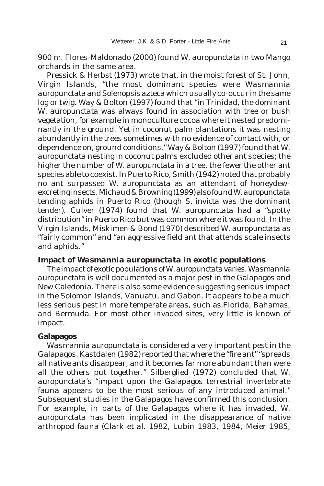900 m. Flores-Maldonado (2000) found *W. auropunctata* in two Mango orchards in the same area.

Pressick & Herbst (1973) wrote that, in the moist forest of St. John, Virgin Islands, "the most dominant species were *Wasmannia auropunctata* and *Solenopsis azteca* which usually co-occur in the same log or twig. Way & Bolton (1997) found that "in Trinidad, the dominant *W. auropunctata* was always found in association with tree or bush vegetation, for example in monoculture cocoa where it nested predominantly in the ground. Yet in coconut palm plantations it was nesting abundantly in the trees sometimes with no evidence of contact with, or dependence on, ground conditions." Way & Bolton (1997) found that *W. auropunctata* nesting in coconut palms excluded other ant species; the higher the number of *W. auropunctata* in a tree, the fewer the other ant species able to coexist. In Puerto Rico, Smith (1942) noted that probably no ant surpassed *W. auropunctata* as an attendant of honeydewexcreting insects. Michaud & Browning (1999) also found *W. auropunctata* tending aphids in Puerto Rico (though *S. invicta* was the dominant tender). Culver (1974) found that *W. auropunctata* had a "spotty distribution" in Puerto Rico but was common where it was found. In the Virgin Islands, Miskimen & Bond (1970) described *W. auropunctata* as "fairly common" and "an aggressive field ant that attends scale insects and aphids."

#### **Impact of** *Wasmannia auropunctata* **in exotic populations**

The impact of exotic populations of *W. auropunctata* varies. *Wasmannia auropunctata* is well documented as a major pest in the Galapagos and New Caledonia. There is also some evidence suggesting serious impact in the Solomon Islands, Vanuatu, and Gabon. It appears to be a much less serious pest in more temperate areas, such as Florida, Bahamas, and Bermuda. For most other invaded sites, very little is known of impact.

#### **Galapagos**

*Wasmannia auropunctata* is considered a very important pest in the Galapagos. Kastdalen (1982) reported that where the "fire ant" "spreads all native ants disappear, and it becomes far more abundant than were all the others put together." Silberglied (1972) concluded that *W. auropunctata*'s "impact upon the Galapagos terrestrial invertebrate fauna appears to be the most serious of any introduced animal." Subsequent studies in the Galapagos have confirmed this conclusion. For example, in parts of the Galapagos where it has invaded, *W. auropunctata* has been implicated in the disappearance of native arthropod fauna (Clark *et al*. 1982, Lubin 1983, 1984, Meier 1985,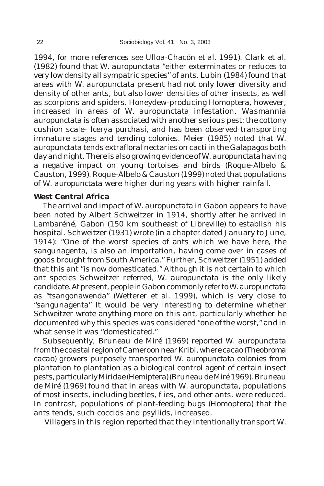1994, for more references see Ulloa-Chacón *et al.* 1991). Clark *et al*. (1982) found that *W. auropunctata* "either exterminates or reduces to very low density all sympatric species" of ants. Lubin (1984) found that areas with *W. auropunctata* present had not only lower diversity and density of other ants, but also lower densities of other insects, as well as scorpions and spiders. Honeydew-producing Homoptera, however, increased in areas of *W. auropunctata* infestation. *Wasmannia auropunctata* is often associated with another serious pest: the cottony cushion scale- *Icerya purchasi*, and has been observed transporting immature stages and tending colonies. Meier (1985) noted that *W. auropunctata* tends extrafloral nectaries on cacti in the Galapagos both day and night. There is also growing evidence of *W. auropunctata* having a negative impact on young tortoises and birds (Roque-Albelo & Causton, 1999). Roque-Albelo & Causton (1999) noted that populations of *W. auropunctata* were higher during years with higher rainfall.

## **West Central Africa**

The arrival and impact of *W. auropunctata* in Gabon appears to have been noted by Albert Schweitzer in 1914, shortly after he arrived in Lambaréné, Gabon (150 km southeast of Libreville) to establish his hospital. Schweitzer (1931) wrote (in a chapter dated January to June, 1914): "One of the worst species of ants which we have here, the sangunagenta, is also an importation, having come over in cases of goods brought from South America." Further, Schweitzer (1951) added that this ant "is now domesticated." Although it is not certain to which ant species Schweitzer referred, *W. auropunctata* is the only likely candidate. At present, people in Gabon commonly refer to *W. auropunctata* as "tsangonawenda" (Wetterer *et al.* 1999), which is very close to "sangunagenta" It would be very interesting to determine whether Schweitzer wrote anything more on this ant, particularly whether he documented why this species was considered "one of the worst," and in what sense it was "domesticated."

Subsequently, Bruneau de Miré (1969) reported *W. auropunctata* from the coastal region of Cameroon near Kribi, where cacao (*Theobroma cacao*) growers purposely transported *W. auropunctata* colonies from plantation to plantation as a biological control agent of certain insect pests, particularly Miridae (Hemiptera) (Bruneau de Miré 1969). Bruneau de Miré (1969) found that in areas with *W. auropunctata*, populations of most insects, including beetles, flies, and other ants, were reduced. In contrast, populations of plant-feeding bugs (Homoptera) that the ants tends, such coccids and psyllids, increased.

Villagers in this region reported that they intentionally transport *W.*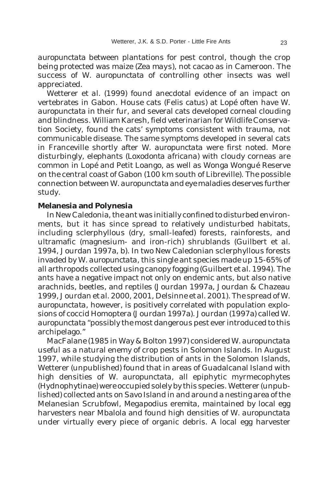*auropunctata* between plantations for pest control, though the crop being protected was maize (*Zea mays*), not cacao as in Cameroon. The success of *W. auropunctata* of controlling other insects was well appreciated.

Wetterer *et al.* (1999) found anecdotal evidence of an impact on vertebrates in Gabon. House cats (*Felis catus*) at Lopé often have *W. auropunctata* in their fur, and several cats developed corneal clouding and blindness. William Karesh, field veterinarian for Wildlife Conservation Society, found the cats' symptoms consistent with trauma, not communicable disease. The same symptoms developed in several cats in Franceville shortly after *W. auropunctata* were first noted. More disturbingly, elephants (*Loxodonta africana*) with cloudy corneas are common in Lopé and Petit Loango, as well as Wonga Wongué Reserve on the central coast of Gabon (100 km south of Libreville). The possible connection between *W. auropunctata* and eye maladies deserves further study.

### **Melanesia and Polynesia**

In New Caledonia, the ant was initially confined to disturbed environments, but it has since spread to relatively undisturbed habitats, including sclerphyllous (dry, small-leafed) forests, rainforests, and ultramafic (magnesium- and iron-rich) shrublands (Guilbert *et al.* 1994, Jourdan 1997a, b). In two New Caledonian sclerphyllous forests invaded by *W. auropunctata*, this single ant species made up 15-65% of all arthropods collected using canopy fogging (Guilbert *et al.* 1994). The ants have a negative impact not only on endemic ants, but also native arachnids, beetles, and reptiles (Jourdan 1997a, Jourdan & Chazeau 1999, Jourdan *et al.* 2000, 2001, Delsinne *et al.* 2001). The spread of *W. auropunctata*, however, is positively correlated with population explosions of coccid Homoptera (Jourdan 1997a). Jourdan (1997a) called *W. auropunctata* "possibly the most dangerous pest ever introduced to this archipelago."

MacFalane (1985 in Way & Bolton 1997) considered *W. auropunctata* useful as a natural enemy of crop pests in Solomon Islands. In August 1997, while studying the distribution of ants in the Solomon Islands, Wetterer (unpublished) found that in areas of Guadalcanal Island with high densities of *W. auropunctata*, all epiphytic myrmecophytes (Hydnophytinae) were occupied solely by this species. Wetterer (unpublished) collected ants on Savo Island in and around a nesting area of the Melanesian Scrubfowl, *Megapodius eremita*, maintained by local egg harvesters near Mbalola and found high densities of *W. auropunctata* under virtually every piece of organic debris. A local egg harvester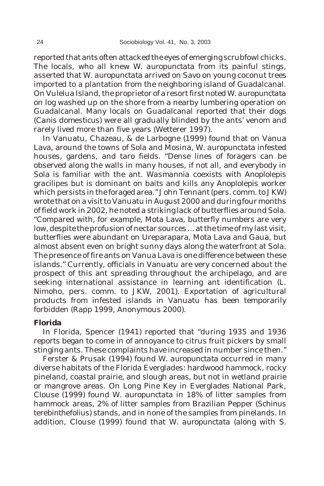reported that ants often attacked the eyes of emerging scrubfowl chicks. The locals, who all knew *W. auropunctata* from its painful stings, asserted that *W. auropunctata* arrived on Savo on young coconut trees imported to a plantation from the neighboring island of Guadalcanal. On Vulelua Island, the proprietor of a resort first noted *W. auropunctata* on log washed up on the shore from a nearby lumbering operation on Guadalcanal. Many locals on Guadalcanal reported that their dogs (*Canis domesticus*) were all gradually blinded by the ants' venom and rarely lived more than five years (Wetterer 1997).

In Vanuatu, Chazeau, & de Larbogne (1999) found that on Vanua Lava, around the towns of Sola and Mosina, *W. auropunctata* infested houses, gardens, and taro fields. "Dense lines of foragers can be observed along the walls in many houses, if not all, and everybody in Sola is familiar with the ant. *Wasmannia* coexists with *Anoplolepis gracilipes* but is dominant on baits and kills any *Anoplolepis* worker which persists in the foraged area." John Tennant (pers. comm. to JKW) wrote that on a visit to Vanuatu in August 2000 and during four months of field work in 2002, he noted a striking lack of butterflies around Sola. "Compared with, for example, Mota Lava, butterfly numbers are very low, despite the profusion of nectar sources ... at the time of my last visit, butterflies were abundant on Ureparapara, Mota Lava and Gaua, but almost absent even on bright sunny days along the waterfront at Sola. The presence of fire ants on Vanua Lava is one difference between these islands." Currently, officials in Vanuatu are very concerned about the prospect of this ant spreading throughout the archipelago, and are seeking international assistance in learning ant identification (L. Nimoho, pers. comm. to JKW, 2001). Exportation of agricultural products from infested islands in Vanuatu has been temporarily forbidden (Rapp 1999, Anonymous 2000).

#### **Florida**

In Florida, Spencer (1941) reported that "during 1935 and 1936 reports began to come in of annoyance to citrus fruit pickers by small stinging ants. These complaints have increased in number since then."

Ferster & Prusak (1994) found *W. auropunctata* occurred in many diverse habitats of the Florida Everglades: hardwood hammock, rocky pineland, coastal prairie, and slough areas, but not in wetland prairie or mangrove areas. On Long Pine Key in Everglades National Park, Clouse (1999) found *W. auropunctata* in 18% of litter samples from hammock areas, 2% of litter samples from Brazilian Pepper (*Schinus terebinthefolius*) stands, and in none of the samples from pinelands. In addition, Clouse (1999) found that *W. auropunctata* (along with *S.*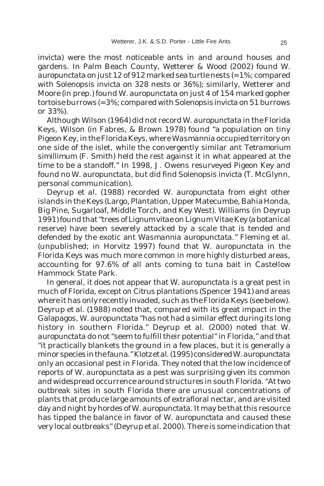*invicta*) were the most noticeable ants in and around houses and gardens. In Palm Beach County, Wetterer & Wood (2002) found *W. auropunctata* on just 12 of 912 marked sea turtle nests (= 1%; compared with *Solenopsis invicta* on 328 nests or 36%); similarly, Wetterer and Moore (in prep.) found *W. auropunctata* on just 4 of 154 marked gopher tortoise burrows (= 3%; compared with *Solenopsis invicta* on 51 burrows or 33%).

Although Wilson (1964) did not record *W. auropunctata* in the Florida Keys, Wilson (in Fabres, & Brown 1978) found "a population on tiny Pigeon Key, in the Florida Keys, where *Wasmannia* occupied territory on one side of the islet, while the convergently similar ant *Tetramorium simillimum* (F. Smith) held the rest against it in what appeared at the time to be a standoff." In 1998, J. Owens resurveyed Pigeon Key and found no *W. auropunctata*, but did find *Solenopsis invicta* (T. McGlynn, personal communication).

Deyrup *et al.* (1988) recorded *W. auropunctata* from eight other islands in the Keys (Largo, Plantation, Upper Matecumbe, Bahia Honda, Big Pine, Sugarloaf, Middle Torch, and Key West). Williams (in Deyrup 1991) found that "trees of *Lignum vitae* on Lignum Vitae Key (a botanical reserve) have been severely attacked by a scale that is tended and defended by the exotic ant *Wasmannia auropunctata*." Fleming *et al.* (unpublished; in Horvitz 1997) found that *W. auropunctata* in the Florida Keys was much more common in more highly disturbed areas, accounting for 97.6% of all ants coming to tuna bait in Castellow Hammock State Park.

In general, it does not appear that *W. auropunctata* is a great pest in much of Florida, except on *Citrus* plantations (Spencer 1941) and areas where it has only recently invaded, such as the Florida Keys (see below). Deyrup *et al*. (1988) noted that, compared with its great impact in the Galapagos, *W. auropunctata* "has not had a similar effect during its long history in southern Florida." Deyrup *et al*. (2000) noted that *W. auropunctata* do not "seem to fulfill their potential" in Florida," and that "it practically blankets the ground in a few places, but it is generally a minor species in the fauna." Klotz *et al*. (1995) considered *W. auropunctata* only an occasional pest in Florida. They noted that the low incidence of reports of *W. auropunctata* as a pest was surprising given its common and widespread occurrence around structures in south Florida. "At two outbreak sites in south Florida there are unusual concentrations of plants that produce large amounts of extrafloral nectar, and are visited day and night by hordes of *W. auropunctata.* It may be that this resource has tipped the balance in favor of *W. auropunctata* and caused these very local outbreaks" (Deyrup *et al.* 2000). There is some indication that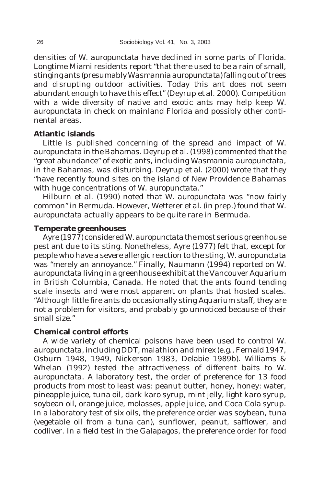densities of *W. auropunctata* have declined in some parts of Florida. Longtime Miami residents report "that there used to be a rain of small, stinging ants (presumably *Wasmannia auropunctata*) falling out of trees and disrupting outdoor activities. Today this ant does not seem abundant enough to have this effect" (Deyrup *et al*. 2000). Competition with a wide diversity of native and exotic ants may help keep *W. auropunctata* in check on mainland Florida and possibly other continental areas.

## **Atlantic islands**

Little is published concerning of the spread and impact of *W. auropunctata* in the Bahamas. Deyrup *et al*. (1998) commented that the "great abundance" of exotic ants, including *Wasmannia auropunctata*, in the Bahamas, was disturbing. Deyrup *et al*. (2000) wrote that they "have recently found sites on the island of New Providence Bahamas with huge concentrations of *W. auropunctata*."

Hilburn *et al*. (1990) noted that *W. auropunctata* was "now fairly common" in Bermuda. However, Wetterer *et al*. (in prep.) found that *W. auropunctata* actually appears to be quite rare in Bermuda.

### **Temperate greenhouses**

Ayre (1977) considered *W. auropunctata* the most serious greenhouse pest ant due to its sting. Nonetheless, Ayre (1977) felt that, except for people who have a severe allergic reaction to the sting, *W. auropunctata* was "merely an annoyance." Finally, Naumann (1994) reported on *W. auropunctata* living in a greenhouse exhibit at the Vancouver Aquarium in British Columbia, Canada. He noted that the ants found tending scale insects and were most apparent on plants that hosted scales. "Although little fire ants do occasionally sting Aquarium staff, they are not a problem for visitors, and probably go unnoticed because of their small size."

### **Chemical control efforts**

A wide variety of chemical poisons have been used to control *W. auropunctata*, including DDT, malathion and mirex (e.g., Fernald 1947, Osburn 1948, 1949, Nickerson 1983, Delabie 1989b). Williams & Whelan (1992) tested the attractiveness of different baits to *W. auropunctata*. A laboratory test, the order of preference for 13 food products from most to least was: peanut butter, honey, honey: water, pineapple juice, tuna oil, dark karo syrup, mint jelly, light karo syrup, soybean oil, orange juice, molasses, apple juice, and Coca Cola syrup. In a laboratory test of six oils, the preference order was soybean, tuna (vegetable oil from a tuna can), sunflower, peanut, safflower, and codliver. In a field test in the Galapagos, the preference order for food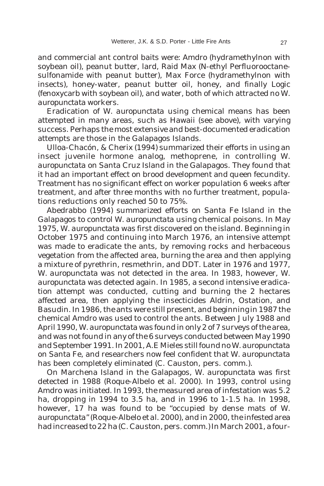and commercial ant control baits were: Amdro (hydramethylnon with soybean oil), peanut butter, lard, Raid Max (N-ethyl Perfluorooctanesulfonamide with peanut butter), Max Force (hydramethylnon with insects), honey-water, peanut butter oil, honey, and finally Logic (fenoxycarb with soybean oil), and water, both of which attracted no *W. auropunctata* workers.

Eradication of *W. auropunctata* using chemical means has been attempted in many areas, such as Hawaii (see above), with varying success. Perhaps the most extensive and best-documented eradication attempts are those in the Galapagos Islands.

Ulloa-Chacón, & Cherix (1994) summarized their efforts in using an insect juvenile hormone analog, methoprene, in controlling *W. auropunctata* on Santa Cruz Island in the Galapagos. They found that it had an important effect on brood development and queen fecundity. Treatment has no significant effect on worker population 6 weeks after treatment, and after three months with no further treatment, populations reductions only reached 50 to 75%.

Abedrabbo (1994) summarized efforts on Santa Fe Island in the Galapagos to control *W. auropunctata* using chemical poisons. In May 1975, *W. auropunctata* was first discovered on the island. Beginning in October 1975 and continuing into March 1976, an intensive attempt was made to eradicate the ants, by removing rocks and herbaceous vegetation from the affected area, burning the area and then applying a mixture of pyrethrin, resmethrin, and DDT. Later in 1976 and 1977, *W. auropunctata* was not detected in the area. In 1983, however, *W. auropunctata* was detected again. In 1985, a second intensive eradication attempt was conducted, cutting and burning the 2 hectares affected area, then applying the insecticides Aldrin, Ostation, and Basudin. In 1986, the ants were still present, and beginning in 1987 the chemical Amdro was used to control the ants. Between July 1988 and April 1990, *W. auropunctata* was found in only 2 of 7 surveys of the area, and was not found in any of the 6 surveys conducted between May 1990 and September 1991. In 2001, A.E Mieles still found no *W. auropunctata* on Santa Fe, and researchers now feel confident that *W. auropunctata* has been completely eliminated (C. Causton, pers. comm.).

On Marchena Island in the Galapagos, *W. auropunctata* was first detected in 1988 (Roque-Albelo *et al.* 2000). In 1993, control using Amdro was initiated. In 1993, the measured area of infestation was 5.2 ha, dropping in 1994 to 3.5 ha, and in 1996 to 1-1.5 ha. In 1998, however, 17 ha was found to be "occupied by dense mats of *W. auropunctata*" (Roque-Albelo *et al.* 2000), and in 2000, the infested area had increased to 22 ha (C. Causton, pers. comm.) In March 2001, a four-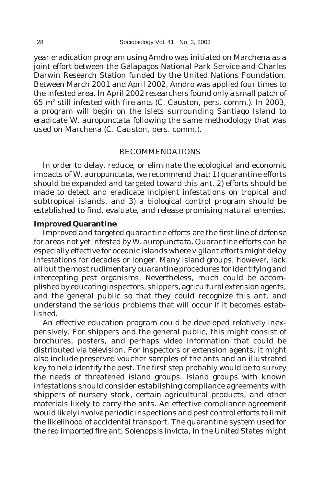year eradication program using Amdro was initiated on Marchena as a joint effort between the Galapagos National Park Service and Charles Darwin Research Station funded by the United Nations Foundation. Between March 2001 and April 2002, Amdro was applied four times to the infested area. In April 2002 researchers found only a small patch of  $65 \text{ m}^2$  still infested with fire ants (C. Causton, pers. comm.). In 2003, a program will begin on the islets surrounding Santiago Island to eradicate *W. auropunctata* following the same methodology that was used on Marchena (C. Causton, pers. comm.).

## RECOMMENDATIONS

In order to delay, reduce, or eliminate the ecological and economic impacts of *W. auropunctata*, we recommend that: 1) quarantine efforts should be expanded and targeted toward this ant, 2) efforts should be made to detect and eradicate incipient infestations on tropical and subtropical islands, and 3) a biological control program should be established to find, evaluate, and release promising natural enemies.

### **Improved Quarantine**

Improved and targeted quarantine efforts are the first line of defense for areas not yet infested by *W. auropunctata.* Quarantine efforts can be especially effective for oceanic islands where vigilant efforts might delay infestations for decades or longer. Many island groups, however, lack all but the most rudimentary quarantine procedures for identifying and intercepting pest organisms. Nevertheless, much could be accomplished by educating inspectors, shippers, agricultural extension agents, and the general public so that they could recognize this ant, and understand the serious problems that will occur if it becomes established.

An effective education program could be developed relatively inexpensively. For shippers and the general public, this might consist of brochures, posters, and perhaps video information that could be distributed via television. For inspectors or extension agents, it might also include preserved voucher samples of the ants and an illustrated key to help identify the pest. The first step probably would be to survey the needs of threatened island groups. Island groups with known infestations should consider establishing compliance agreements with shippers of nursery stock, certain agricultural products, and other materials likely to carry the ants. An effective compliance agreement would likely involve periodic inspections and pest control efforts to limit the likelihood of accidental transport. The quarantine system used for the red imported fire ant, *Solenopsis invicta*, in the United States might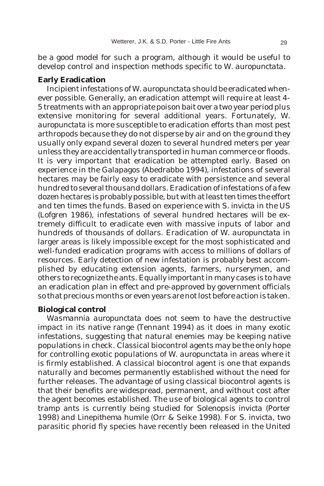be a good model for such a program, although it would be useful to develop control and inspection methods specific to *W. auropunctata*.

### **Early Eradication**

Incipient infestations of *W. auropunctata* should be eradicated whenever possible. Generally, an eradication attempt will require at least 4- 5 treatments with an appropriate poison bait over a two year period plus extensive monitoring for several additional years. Fortunately, *W. auropunctata* is more susceptible to eradication efforts than most pest arthropods because they do not disperse by air and on the ground they usually only expand several dozen to several hundred meters per year unless they are accidentally transported in human commerce or floods. It is very important that eradication be attempted early. Based on experience in the Galapagos (Abedrabbo 1994), infestations of several hectares may be fairly easy to eradicate with persistence and several hundred to several thousand dollars. Eradication of infestations of a few dozen hectares is probably possible, but with at least ten times the effort and ten times the funds. Based on experience with *S. invicta* in the US (Lofgren 1986), infestations of several hundred hectares will be extremely difficult to eradicate even with massive inputs of labor and hundreds of thousands of dollars. Eradication of *W. auropunctata* in larger areas is likely impossible except for the most sophisticated and well-funded eradication programs with access to millions of dollars of resources. Early detection of new infestation is probably best accomplished by educating extension agents, farmers, nurserymen, and others to recognize the ants. Equally important in many cases is to have an eradication plan in effect and pre-approved by government officials so that precious months or even years are not lost before action is taken.

## **Biological control**

*Wasmannia auropunctata* does not seem to have the destructive impact in its native range (Tennant 1994) as it does in many exotic infestations, suggesting that natural enemies may be keeping native populations in check. Classical biocontrol agents may be the only hope for controlling exotic populations of *W. auropunctata* in areas where it is firmly established. A classical biocontrol agent is one that expands naturally and becomes permanently established without the need for further releases. The advantage of using classical biocontrol agents is that their benefits are widespread, permanent, and without cost after the agent becomes established. The use of biological agents to control tramp ants is currently being studied for *Solenopsis invicta* (Porter 1998) and *Linepithema humile* (Orr & Seike 1998). For *S. invicta*, two parasitic phorid fly species have recently been released in the United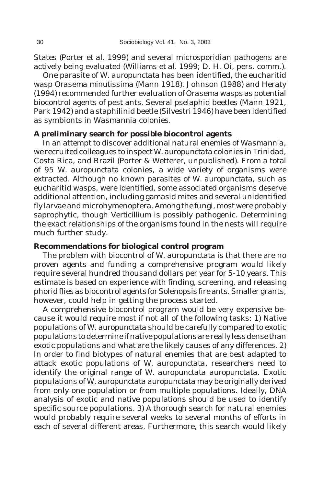States (Porter *et al.* 1999) and several microsporidian pathogens are actively being evaluated (Williams *et al.* 1999; D. H. Oi, pers. comm.).

One parasite of *W. auropunctata* has been identified, the eucharitid wasp *Orasema minutissima* (Mann 1918). Johnson (1988) and Heraty (1994) recommended further evaluation of *Orasema* wasps as potential biocontrol agents of pest ants. Several pselaphid beetles (Mann 1921, Park 1942) and a staphilinid beetle (Silvestri 1946) have been identified as symbionts in *Wasmannia* colonies.

#### **A preliminary search for possible biocontrol agents**

In an attempt to discover additional natural enemies of *Wasmannia*, we recruited colleagues to inspect *W. auropunctata* colonies in Trinidad, Costa Rica, and Brazil (Porter & Wetterer, unpublished). From a total of 95 *W. auropunctata* colonies, a wide variety of organisms were extracted. Although no known parasites of *W. auropunctata*, such as eucharitid wasps, were identified, some associated organisms deserve additional attention, including gamasid mites and several unidentified fly larvae and microhymenoptera. Among the fungi, most were probably saprophytic, though *Verticillium* is possibly pathogenic. Determining the exact relationships of the organisms found in the nests will require much further study.

### **Recommendations for biological control program**

The problem with biocontrol of *W. auropunctata* is that there are no proven agents and funding a comprehensive program would likely require several hundred thousand dollars per year for 5-10 years. This estimate is based on experience with finding, screening, and releasing phorid flies as biocontrol agents for *Solenopsis* fire ants. Smaller grants, however, could help in getting the process started.

A comprehensive biocontrol program would be very expensive because it would require most if not all of the following tasks: 1) Native populations of *W. auropunctata* should be carefully compared to exotic populations to determine if native populations are really less dense than exotic populations and what are the likely causes of any differences. 2) In order to find biotypes of natural enemies that are best adapted to attack exotic populations of *W. auropunctata*, researchers need to identify the original range of *W. auropunctata auropunctata*. Exotic populations of *W. auropunctata auropunctata* may be originally derived from only one population or from multiple populations. Ideally, DNA analysis of exotic and native populations should be used to identify specific source populations. 3) A thorough search for natural enemies would probably require several weeks to several months of efforts in each of several different areas. Furthermore, this search would likely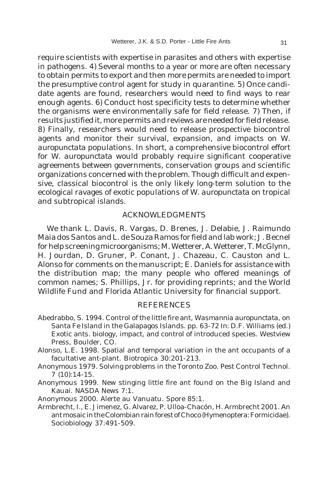require scientists with expertise in parasites and others with expertise in pathogens. 4) Several months to a year or more are often necessary to obtain permits to export and then more permits are needed to import the presumptive control agent for study in quarantine. 5) Once candidate agents are found, researchers would need to find ways to rear enough agents. 6) Conduct host specificity tests to determine whether the organisms were environmentally safe for field release. 7) Then, if results justified it, more permits and reviews are needed for field release. 8) Finally, researchers would need to release prospective biocontrol agents and monitor their survival, expansion, and impacts on *W. auropunctata* populations. In short, a comprehensive biocontrol effort for *W. auropunctata* would probably require significant cooperative agreements between governments, conservation groups and scientific organizations concerned with the problem. Though difficult and expensive, classical biocontrol is the only likely long-term solution to the ecological ravages of exotic populations of *W. auropunctata* on tropical and subtropical islands.

#### ACKNOWLEDGMENTS

We thank L. Davis, R. Vargas, D. Brenes, J. Delabie, J. Raimundo Maia dos Santos and L. de Souza Ramos for field and lab work; J. Becnel for help screening microorganisms; M. Wetterer, A. Wetterer, T. McGlynn, H. Jourdan, D. Gruner, P. Conant, J. Chazeau, C. Causton and L. Alonso for comments on the manuscript; E. Daniels for assistance with the distribution map; the many people who offered meanings of common names; S. Phillips, Jr. for providing reprints; and the World Wildlife Fund and Florida Atlantic University for financial support.

#### REFERENCES

- Abedrabbo, S. 1994. Control of the little fire ant, *Wasmannia auropunctata*, on Santa Fe Island in the Galapagos Islands. pp. 63-72 *In:* D.F. Williams (ed.) Exotic ants. biology, impact, and control of introduced species. Westview Press, Boulder, CO.
- Alonso, L.E. 1998. Spatial and temporal variation in the ant occupants of a facultative ant-plant. Biotropica 30:201-213.
- Anonymous 1979. Solving problems in the Toronto Zoo. Pest Control Technol. 7 (10):14-15.
- Anonymous 1999. New stinging little fire ant found on the Big Island and Kauai. NASDA News 7:1.

Anonymous 2000. Alerte au Vanuatu. Spore 85:1.

Armbrecht, I., E. Jimenez, G. Alvarez, P. Ulloa-Chacón, H. Armbrecht 2001. An ant mosaic in the Colombian rain forest of Choco (Hymenoptera: Formicidae). Sociobiology 37:491-509.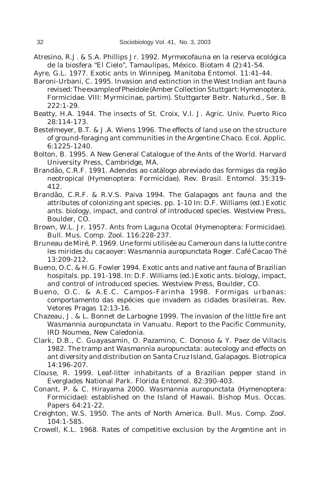- Atresino, R.J. & S.A. Phillips Jr. 1992. Myrmecofauna en la reserva ecológica de la biosfera "El Cielo", Tamaulipas, México. Biotam 4 (2):41-54.
- Ayre, G.L. 1977. Exotic ants in Winnipeg. Manitoba Entomol. 11:41-44.
- Baroni-Urbani, C. 1995. Invasion and extinction in the West Indian ant fauna revised: The example of *Pheidole* (Amber Collection Stuttgart: Hymenoptera, Formicidae. VIII: Myrmicinae, partim). Stuttgarter Beitr. Naturkd., Ser. B 222:1-29.
- Beatty, H.A. 1944. The insects of St. Croix, V.I. J. Agric. Univ. Puerto Rico 28:114-173.
- Bestelmeyer, B.T. & J.A. Wiens 1996. The effects of land use on the structure of ground-foraging ant communities in the Argentine Chaco. Ecol. Applic. 6:1225-1240.
- Bolton, B. 1995. A New General Catalogue of the Ants of the World. Harvard University Press, Cambridge, MA.
- Brandão, C.R.F. 1991. Adendos ao catálogo abreviado das formigas da região neotropical (Hymenoptera: Formicidae). Rev. Brasil. Entomol. 35:319- 412.
- Brandão, C.R.F. & R.V.S. Paiva 1994. The Galapagos ant fauna and the attributes of colonizing ant species. pp. 1-10 *In:* D.F. Williams (ed.) Exotic ants. biology, impact, and control of introduced species. Westview Press, Boulder, CO.
- Brown, W.L. Jr. 1957. Ants from Laguna Ocotal (Hymenoptera: Formicidae). Bull. Mus. Comp. Zool. 116:228-237.
- Bruneau de Miré, P. 1969. Une formi utilisée au Cameroun dans la lutte contre les mirides du cacaoyer: *Wasmannia auropunctata* Roger. Café Cacao Thé 13:209-212.
- Bueno, O.C. & H.G. Fowler 1994. Exotic ants and native ant fauna of Brazilian hospitals. pp. 191-198. *In:* D.F. Williams (ed.) Exotic ants. biology, impact, and control of introduced species. Westview Press, Boulder, CO.
- Bueno, O.C. & A.E.C. Campos-Farinha 1998. Formigas urbanas: comportamento das espécies que invadem as cidades brasileiras. Rev. Vetores Pragas 12:13-16.
- Chazeau, J. & L. Bonnet de Larbogne 1999. The invasion of the little fire ant *Wasmannia auropunctata* in Vanuatu. Report to the Pacific Community, IRD Noumea, New Caledonia.
- Clark, D.B., C. Guayasamin, O. Pazamino, C. Donoso & Y. Paez de Villacis 1982. The tramp ant *Wasmannia auropunctata*: autecology and effects on ant diversity and distribution on Santa Cruz Island, Galapagos. Biotropica 14:196-207.
- Clouse, R. 1999. Leaf-litter inhabitants of a Brazilian pepper stand in Everglades National Park. Florida Entomol. 82:390-403.
- Conant, P. & C. Hirayama 2000. *Wasmannia auropunctata* (Hymenoptera: Formicidae): established on the Island of Hawaii. Bishop Mus. Occas. Papers 64:21-22.
- Creighton, W.S. 1950. The ants of North America. Bull. Mus. Comp. Zool. 104:1-585.
- Crowell, K.L. 1968. Rates of competitive exclusion by the Argentine ant in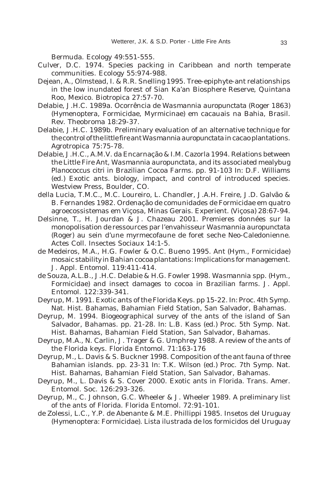Bermuda. Ecology 49:551-555.

- Culver, D.C. 1974. Species packing in Caribbean and north temperate communities. Ecology 55:974-988.
- Dejean, A., Olmstead, I. & R.R. Snelling 1995. Tree-epiphyte-ant relationships in the low inundated forest of Sian Ka'an Biosphere Reserve, Quintana Roo, Mexico. Biotropica 27:57-70.
- Delabie, J.H.C. 1989a. Ocorrência de *Wasmannia auropunctata* (Roger 1863) (Hymenoptera, Formicidae, Myrmicinae) em cacauais na Bahia, Brasil. Rev. Theobroma 18:29-37.
- Delabie, J.H.C. 1989b. Preliminary evaluation of an alternative technique for the control of the little fire ant *Wasmannia auropunctata* in cacao plantations. Agrotropica 75:75-78.
- Delabie, J.H.C., A.M.V. da Encarnação & I.M. Cazorla 1994. Relations between the Little Fire Ant, *Wasmannia auropunctata*, and its associated mealybug *Planococcus citri* in Brazilian Cocoa Farms. pp. 91-103 *In:* D.F. Williams (ed.) Exotic ants. biology, impact, and control of introduced species. Westview Press, Boulder, CO.
- della Lucia, T.M.C., M.C. Loureiro, L. Chandler, J.A.H. Freire, J.D. Galvão & B. Fernandes 1982. Ordenação de comunidades de Formicidae em quatro agroecossistemas em Viçosa, Minas Gerais. Experient. (Viçosa) 28:67-94.
- Delsinne, T., H. Jourdan & J. Chazeau 2001. Premieres données sur la monopolisation de ressources par l'envahisseur *Wasmannia auropunctata* (Roger) au sein d'une myrmecofaune de foret seche Neo-Caledonienne. Actes Coll. Insectes Sociaux 14:1-5.
- de Medeiros, M.A., H.G. Fowler & O.C. Bueno 1995. Ant (Hym., Formicidae) mosaic stability in Bahian cocoa plantations: Implications for management. J. Appl. Entomol. 119:411-414.
- de Souza, A.L.B., J.H.C. Delabie & H.G. Fowler 1998. *Wasmannia* spp. (Hym., Formicidae) and insect damages to cocoa in Brazilian farms. J. Appl. Entomol. 122:339-341.
- Deyrup, M. 1991. Exotic ants of the Florida Keys. pp 15-22. *In:* Proc. 4th Symp. Nat. Hist. Bahamas, Bahamian Field Station, San Salvador, Bahamas.
- Deyrup, M. 1994. Biogeographical survey of the ants of the island of San Salvador, Bahamas. pp. 21-28. *In:* L.B. Kass (ed.) Proc. 5th Symp. Nat. Hist. Bahamas, Bahamian Field Station, San Salvador, Bahamas.
- Deyrup, M.A., N. Carlin, J. Trager & G. Umphrey 1988. A review of the ants of the Florida keys. Florida Entomol. 71:163-176
- Deyrup, M., L. Davis & S. Buckner 1998. Composition of the ant fauna of three Bahamian islands. pp. 23-31 *In:* T.K. Wilson (ed.) Proc. 7th Symp. Nat. Hist. Bahamas, Bahamian Field Station, San Salvador, Bahamas.
- Deyrup, M., L. Davis & S. Cover 2000. Exotic ants in Florida. Trans. Amer. Entomol. Soc. 126:293-326.
- Deyrup, M., C. Johnson, G.C. Wheeler & J. Wheeler 1989. A preliminary list of the ants of Florida. Florida Entomol. 72:91-101.
- de Zolessi, L.C., Y.P. de Abenante & M.E. Phillippi 1985. Insetos del Uruguay (Hymenoptera: Formicidae). Lista ilustrada de los formicidos del Uruguay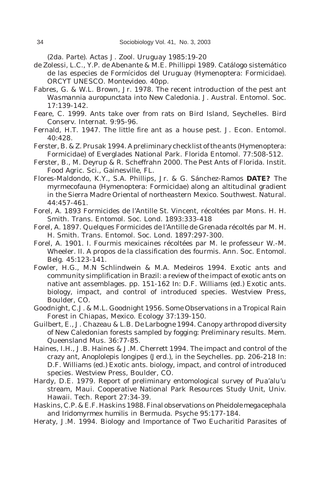(2da. Parte). Actas J. Zool. Uruguay 1985:19-20

- de Zolessi, L.C., Y.P. de Abenante & M.E. Phillippi 1989. Catálogo sistemático de las especies de Formícidos del Uruguay (Hymenoptera: Formicidae). ORCYT UNESCO. Montevideo. 40pp.
- Fabres, G. & W.L. Brown, Jr. 1978. The recent introduction of the pest ant *Wasmannia auropunctata* into New Caledonia. J. Austral. Entomol. Soc. 17:139-142.
- Feare, C. 1999. Ants take over from rats on Bird Island, Seychelles. Bird Conserv. Internat. 9:95-96.
- Fernald, H.T. 1947. The little fire ant as a house pest. J. Econ. Entomol. 40:428.
- Ferster, B. & Z. Prusak 1994. A preliminary checklist of the ants (Hymenoptera: Formicidae) of Everglades National Park. Florida Entomol. 77:508-512.
- Ferster, B., M. Deyrup & R. Scheffrahn 2000. The Pest Ants of Florida. Instit. Food Agric. Sci., Gainesville, FL.
- Flores-Maldondo, K.Y., S.A. Phillips, Jr. & G. Sánchez-Ramos **DATE?** The myrmecofauna (Hymenoptera: Formicidae) along an altitudinal gradient in the Sierra Madre Oriental of northeastern Mexico. Southwest. Natural. 44:457-461.
- Forel, A. 1893 Formicides de l'Antille St. Vincent, récoltées par Mons. H. H. Smith. Trans. Entomol. Soc. Lond. 1893:333-418
- Forel, A. 1897. Quelques Formicides de l'Antille de Grenada récoltés par M. H. H. Smith. Trans. Entomol. Soc. Lond. 1897:297-300.
- Forel, A. 1901. I. Fourmis mexicaines récoltées par M. le professeur W.-M. Wheeler. II. A propos de la classification des fourmis. Ann. Soc. Entomol. Belg. 45:123-141.
- Fowler, H.G., M.N Schlindwein & M.A. Medeiros 1994. Exotic ants and community simplification in Brazil: a review of the impact of exotic ants on native ant assemblages. pp. 151-162 *In:* D.F. Williams (ed.) Exotic ants. biology, impact, and control of introduced species. Westview Press, Boulder, CO.
- Goodnight, C.J. & M.L. Goodnight 1956. Some Observations in a Tropical Rain Forest in Chiapas, Mexico. Ecology 37:139-150.
- Guilbert, E., J. Chazeau & L.B. De Larbogne 1994. Canopy arthropod diversity of New Caledonian forests sampled by fogging: Preliminary results. Mem. Queensland Mus. 36:77-85.
- Haines, I.H., J.B. Haines & J.M. Cherrett 1994. The impact and control of the crazy ant, *Anoplolepis longipes* (Jerd.), in the Seychelles. pp. 206-218 *In:* D.F. Williams (ed.) Exotic ants. biology, impact, and control of introduced species. Westview Press, Boulder, CO.
- Hardy, D.E. 1979. Report of preliminary entomological survey of Pua'alu'u stream, Maui. Cooperative National Park Resources Study Unit, Univ. Hawaii. Tech. Report 27:34-39.
- Haskins, C.P. & E.F. Haskins 1988. Final observations on *Pheidole megacephala* and *Iridomyrmex humilis* in Bermuda. Psyche 95:177-184.
- Heraty, J.M. 1994. Biology and Importance of Two Eucharitid Parasites of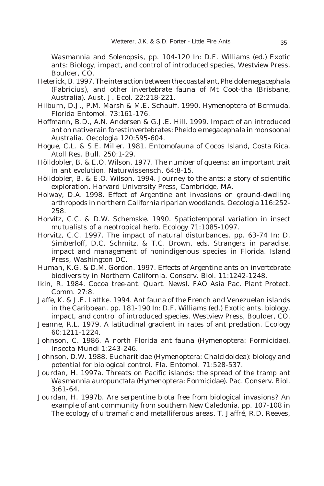*Wasmannia* and *Solenopsis*, pp. 104-120 *In:* D.F. Williams (ed.) Exotic ants: Biology, impact, and control of introduced species, Westview Press, Boulder, CO.

- Heterick, B. 1997. The interaction between the coastal ant, *Pheidole megacephala* (Fabricius), and other invertebrate fauna of Mt Coot-tha (Brisbane, Australia). Aust. J. Ecol. 22:218-221.
- Hilburn, D.J., P.M. Marsh & M.E. Schauff. 1990. Hymenoptera of Bermuda. Florida Entomol. 73:161-176.
- Hoffmann, B.D., A.N. Andersen & G.J.E. Hill. 1999. Impact of an introduced ant on native rain forest invertebrates: *Pheidole megacephala* in monsoonal Australia. Oecologia 120:595-604.
- Hogue, C.L. & S.E. Miller. 1981. Entomofauna of Cocos Island, Costa Rica. Atoll Res. Bull. 250:1-29.
- Hölldobler, B. & E.O. Wilson. 1977. The number of queens: an important trait in ant evolution. Naturwissensch. 64:8-15.
- Hölldobler, B. & E.O. Wilson. 1994. Journey to the ants: a story of scientific exploration. Harvard University Press, Cambridge, MA.
- Holway, D.A. 1998. Effect of Argentine ant invasions on ground-dwelling arthropods in northern California riparian woodlands. Oecologia 116:252- 258.
- Horvitz, C.C. & D.W. Schemske. 1990. Spatiotemporal variation in insect mutualists of a neotropical herb. Ecology 71:1085-1097.
- Horvitz, C.C. 1997. The impact of natural disturbances. pp. 63-74 *In:* D. Simberloff, D.C. Schmitz, & T.C. Brown, eds. Strangers in paradise. impact and management of nonindigenous species in Florida. Island Press, Washington DC.
- Human, K.G. & D.M. Gordon. 1997. Effects of Argentine ants on invertebrate biodiversity in Northern California. Conserv. Biol. 11:1242-1248.
- Ikin, R. 1984. Cocoa tree-ant. Quart. Newsl. FAO Asia Pac. Plant Protect. Comm. 27:8.
- Jaffe, K. & J.E. Lattke. 1994. Ant fauna of the French and Venezuelan islands in the Caribbean. pp. 181-190 *In:* D.F. Williams (ed.) Exotic ants. biology, impact, and control of introduced species. Westview Press, Boulder, CO.
- Jeanne, R.L. 1979. A latitudinal gradient in rates of ant predation. Ecology 60:1211-1224.
- Johnson, C. 1986. A north Florida ant fauna (Hymenoptera: Formicidae). Insecta Mundi 1:243-246.
- Johnson, D.W. 1988. Eucharitidae (Hymenoptera: Chalcidoidea): biology and potential for biological control. Fla. Entomol. 71:528-537.
- Jourdan, H. 1997a. Threats on Pacific islands: the spread of the tramp ant *Wasmannia auropunctata* (Hymenoptera: Formicidae). Pac. Conserv. Biol. 3:61-64.
- Jourdan, H. 1997b. Are serpentine biota free from biological invasions? An example of ant community from southern New Caledonia. pp. 107-108 in The ecology of ultramafic and metalliferous areas. T. Jaffré, R.D. Reeves,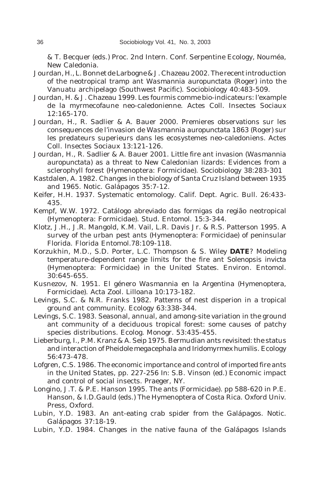& T. Becquer (eds.) Proc. 2nd Intern. Conf. Serpentine Ecology, Nouméa, New Caledonia.

- Jourdan, H., L. Bonnet de Larbogne & J. Chazeau 2002. The recent introduction of the neotropical tramp ant *Wasmannia auropunctata* (Roger) into the Vanuatu archipelago (Southwest Pacific). Sociobiology 40:483-509.
- Jourdan, H. & J. Chazeau 1999. Les fourmis comme bio-indicateurs: l'example de la myrmecofaune neo-caledonienne. Actes Coll. Insectes Sociaux 12:165-170.
- Jourdan, H., R. Sadlier & A. Bauer 2000. Premieres observations sur les consequences de l'invasion de *Wasmannia auropunctata* 1863 (Roger) sur les predateurs superieurs dans les ecosystemes neo-caledoniens. Actes Coll. Insectes Sociaux 13:121-126.
- Jourdan, H., R. Sadlier & A. Bauer 2001. Little fire ant invasion (*Wasmannia auropunctata*) as a threat to New Caledonian lizards: Evidences from a sclerophyll forest (Hymenoptera: Formicidae). Sociobiology 38:283-301
- Kastdalen, A. 1982. Changes in the biology of Santa Cruz Island between 1935 and 1965. Notic. Galápagos 35:7-12.
- Keifer, H.H. 1937. Systematic entomology. Calif. Dept. Agric. Bull. 26:433- 435.
- Kempf, W.W. 1972. Catálogo abreviado das formigas da região neotropical (Hymenoptera: Formicidae). Stud. Entomol. 15:3-344.
- Klotz, J.H., J.R. Mangold, K.M. Vail, L.R. Davis Jr. & R.S. Patterson 1995. A survey of the urban pest ants (Hymenoptera: Formicidae) of peninsular Florida. Florida Entomol.78:109-118.
- Korzukhin, M.D., S.D. Porter, L.C. Thompson & S. Wiley **DATE**? Modeling temperature-dependent range limits for the fire ant *Solenopsis invicta* (Hymenoptera: Formicidae) in the United States. Environ. Entomol.  $30.645 - 655$
- Kusnezov, N. 1951. El género *Wasmannia* en la Argentina (Hymenoptera, Formicidae). Acta Zool. Lilloana 10:173-182.
- Levings, S.C. & N.R. Franks 1982. Patterns of nest disperion in a tropical ground ant community. Ecology 63:338-344.
- Levings, S.C. 1983. Seasonal, annual, and among-site variation in the ground ant community of a deciduous tropical forest: some causes of patchy species distributions. Ecolog. Monogr. 53:435-455.
- Lieberburg, I., P.M. Kranz & A. Seip 1975. Bermudian ants revisited: the status and interaction of *Pheidole megacephala* and *Iridomyrmex humilis*. Ecology 56:473-478.
- Lofgren, C.S. 1986. The economic importance and control of imported fire ants in the United States, pp. 227-256 *In:* S.B. Vinson (ed.) Economic impact and control of social insects. Praeger, NY.
- Longino, J.T. & P.E. Hanson 1995. The ants (Formicidae). pp 588-620 in P.E. Hanson, & I.D.Gauld (eds.) The Hymenoptera of Costa Rica. Oxford Univ. Press, Oxford.
- Lubin, Y.D. 1983. An ant-eating crab spider from the Galápagos. Notic. Galápagos 37:18-19.
- Lubin, Y.D. 1984. Changes in the native fauna of the Galápagos Islands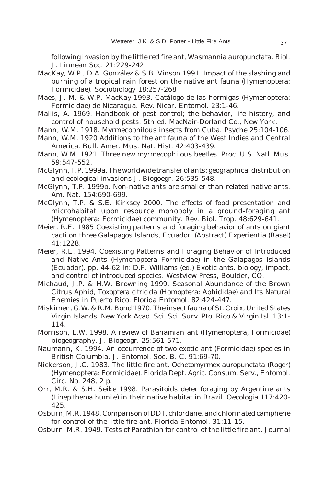following invasion by the little red fire ant, *Wasmannia auropunctata*. Biol. J. Linnean Soc. 21:229-242.

- MacKay, W.P., D.A. González & S.B. Vinson 1991. Impact of the slashing and burning of a tropical rain forest on the native ant fauna (Hymenoptera: Formicidae). Sociobiology 18:257-268
- Maes, J.-M. & W.P. MacKay 1993. Catálogo de las hormigas (Hymenoptera: Formicidae) de Nicaragua. Rev. Nicar. Entomol. 23:1-46.
- Mallis, A. 1969. Handbook of pest control; the behavior, life history, and control of household pests. 5th ed. MacNair-Dorland Co., New York.
- Mann, W.M. 1918. Myrmecophilous insects from Cuba. Psyche 25:104-106.
- Mann, W.M. 1920 Additions to the ant fauna of the West Indies and Central America. Bull. Amer. Mus. Nat. Hist. 42:403-439.
- Mann, W.M. 1921. Three new myrmecophilous beetles. Proc. U.S. Natl. Mus. 59:547-552.
- McGlynn, T.P. 1999a. The worldwide transfer of ants: geographical distribution and ecological invasions J. Biogoegr. 26:535-548.
- McGlynn, T.P. 1999b. Non-native ants are smaller than related native ants. Am. Nat. 154:690-699.
- McGlynn, T.P. & S.E. Kirksey 2000. The effects of food presentation and microhabitat upon resource monopoly in a ground-foraging ant (Hymenoptera: Formicidae) community. Rev. Biol. Trop. 48:629-641.
- Meier, R.E. 1985 Coexisting patterns and foraging behavior of ants on giant cacti on three Galapagos Islands, Ecuador. (Abstract) Experientia (Basel) 41:1228.
- Meier, R.E. 1994. Coexisting Patterns and Foraging Behavior of Introduced and Native Ants (Hymenoptera Formicidae) in the Galapagos Islands (Ecuador). pp. 44-62 *In:* D.F. Williams (ed.) Exotic ants. biology, impact, and control of introduced species. Westview Press, Boulder, CO.
- Michaud, J.P. & H.W. Browning 1999. Seasonal Abundance of the Brown Citrus Aphid, *Toxoptera citricida* (Homoptera: Aphididae) and Its Natural Enemies in Puerto Rico. Florida Entomol. 82:424-447.
- Miskimen, G.W. & R.M. Bond 1970. The insect fauna of St. Croix, United States Virgin Islands. New York Acad. Sci. Sci. Surv. Pto. Rico & Virgin Isl. 13:1- 114.
- Morrison, L.W. 1998. A review of Bahamian ant (Hymenoptera, Formicidae) biogeography. J. Biogeogr. 25:561-571.
- Naumann, K. 1994. An occurrence of two exotic ant (Formicidae) species in British Columbia. J. Entomol. Soc. B. C. 91:69-70.
- Nickerson, J.C. 1983. The little fire ant, *Ochetomyrmex auropunctata* (Roger) (Hymenoptera: Formicidae). Florida Dept. Agric. Consum. Serv., Entomol. Circ. No. 248, 2 p.
- Orr, M.R. & S.H. Seike 1998. Parasitoids deter foraging by Argentine ants (*Linepithema humile*) in their native habitat in Brazil. Oecologia 117:420- 425.
- Osburn, M.R. 1948. Comparison of DDT, chlordane, and chlorinated camphene for control of the little fire ant. Florida Entomol. 31:11-15.
- Osburn, M.R. 1949. Tests of Parathion for control of the little fire ant. Journal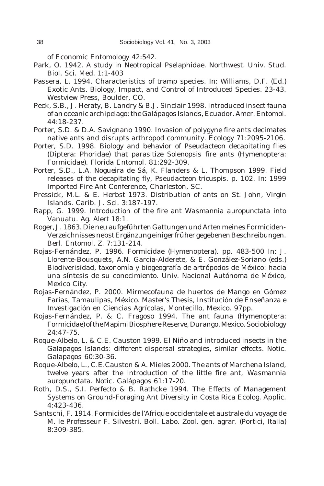of Economic Entomology 42:542.

- Park, O. 1942. A study in Neotropical Pselaphidae. Northwest. Univ. Stud. Biol. Sci. Med. 1:1-403
- Passera, L. 1994. Characteristics of tramp species. *In:* Williams, D.F. (Ed.) Exotic Ants. Biology, Impact, and Control of Introduced Species. 23-43. Westview Press, Boulder, CO.
- Peck, S.B., J. Heraty, B. Landry & B.J. Sinclair 1998. Introduced insect fauna of an oceanic archipelago: the Galápagos Islands, Ecuador. Amer. Entomol. 44:18-237.
- Porter, S.D. & D.A. Savignano 1990. Invasion of polygyne fire ants decimates native ants and disrupts arthropod community. Ecology 71:2095-2106.
- Porter, S.D. 1998. Biology and behavior of *Pseudacteon* decapitating flies (Diptera: Phoridae) that parasitize *Solenopsis* fire ants (Hymenoptera: Formicidae). Florida Entomol. 81:292-309.
- Porter, S.D., L.A. Nogueira de Sá, K. Flanders & L. Thompson 1999. Field releases of the decapitating fly, *Pseudacteon tricuspis*. p. 102. *In:* 1999 Imported Fire Ant Conference, Charleston, SC.
- Pressick, M.L. & E. Herbst 1973. Distribution of ants on St. John, Virgin Islands. Carib. J. Sci. 3:187-197.
- Rapp, G. 1999. Introduction of the fire ant *Wasmannia auropunctata* into Vanuatu. Ag. Alert 18:1.
- Roger, J. 1863. Die neu aufgeführten Gattungen und Arten meines Formiciden-Verzeichnisses nebst Ergänzung einiger früher gegebenen Beschreibungen. Berl. Entomol. Z. 7:131-214.
- Rojas-Fernández, P. 1996. Formicidae (Hymenoptera). pp. 483-500 *In:* J. Llorente-Bousquets, A.N. Garcia-Alderete, & E. González-Soriano (eds.) Biodiverisidad, taxonomía y biogeografía de artrópodos de México: hacia una síntesis de su conocimiento. Univ. Nacional Autónoma de México, Mexico City.
- Rojas-Fernández, P. 2000. Mirmecofauna de huertos de Mango en Gómez Farías, Tamaulipas, México. Master's Thesis, Institución de Enseñanza e Investigación en Ciencias Agrícolas, Montecillo, Mexico. 97pp.
- Rojas-Fernández, P. & C. Fragoso 1994. The ant fauna (Hymenoptera: Formicidae) of the Mapimi Biosphere Reserve, Durango, Mexico. Sociobiology 24:47-75.
- Roque-Albelo, L. & C.E. Causton 1999. El Niño and introduced insects in the Galapagos Islands: different dispersal strategies, similar effects. Notic. Galapagos 60:30-36.
- Roque-Albelo, L., C.E.Causton & A. Mieles 2000. The ants of Marchena Island, twelve years after the introduction of the little fire ant, *Wasmannia auropunctata*. Notic. Galápagos 61:17-20.
- Roth, D.S., S.I. Perfecto & B. Rathcke 1994. The Effects of Management Systems on Ground-Foraging Ant Diversity in Costa Rica Ecolog. Applic. 4:423-436.
- Santschi, F. 1914. Formicides de l'Afrique occidentale et australe du voyage de M. le Professeur F. Silvestri. Boll. Labo. Zool. gen. agrar. (Portici, Italia) 8:309-385.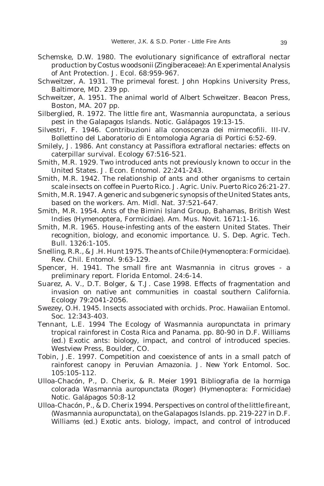- Schemske, D.W. 1980. The evolutionary significance of extrafloral nectar production by *Costus woodsonii* (Zingiberaceae): An Experimental Analysis of Ant Protection. J. Ecol. 68:959-967.
- Schweitzer, A. 1931. The primeval forest. John Hopkins University Press, Baltimore, MD. 239 pp.
- Schweitzer, A. 1951. The animal world of Albert Schweitzer. Beacon Press, Boston, MA. 207 pp.
- Silberglied, R. 1972. The little fire ant, *Wasmannia auropunctata*, a serious pest in the Galapagos Islands. Notic. Galápagos 19:13-15.
- Silvestri, F. 1946. Contribuzioni alla conoscenza dei mirmecofili. III-IV. Bollettino del Laboratorio di Entomologia Agraria di Portici 6:52-69.
- Smilely, J. 1986. Ant constancy at *Passiflora* extrafloral nectaries: effects on caterpillar survival. Ecology 67:516-521.
- Smith, M.R. 1929. Two introduced ants not previously known to occur in the United States. J. Econ. Entomol. 22:241-243.
- Smith, M.R. 1942. The relationship of ants and other organisms to certain scale insects on coffee in Puerto Rico. J. Agric. Univ. Puerto Rico 26:21-27.
- Smith, M.R. 1947. A generic and subgeneric synopsis of the United States ants, based on the workers. Am. Midl. Nat. 37:521-647.
- Smith, M.R. 1954. Ants of the Bimini Island Group, Bahamas, British West Indies (Hymenoptera, Formicidae). Am. Mus. Novit. 1671:1-16.
- Smith, M.R. 1965. House-infesting ants of the eastern United States. Their recognition, biology, and economic importance. U. S. Dep. Agric. Tech. Bull. 1326:1-105.
- Snelling, R.R., & J.H. Hunt 1975. The ants of Chile (Hymenoptera: Formicidae). Rev. Chil. Entomol. 9:63-129.
- Spencer, H. 1941. The small fire ant *Wasmannia* in citrus groves a preliminary report. Florida Entomol. 24:6-14.
- Suarez, A. V., D.T. Bolger, & T.J. Case 1998. Effects of fragmentation and invasion on native ant communities in coastal southern California. Ecology 79:2041-2056.
- Swezey, O.H. 1945. Insects associated with orchids. Proc. Hawaiian Entomol. Soc. 12:343-403.
- Tennant, L.E. 1994 The Ecology of *Wasmannia auropunctata* in primary tropical rainforest in Costa Rica and Panama. pp. 80-90 in D.F. Williams (ed.) Exotic ants: biology, impact, and control of introduced species. Westview Press, Boulder, CO.
- Tobin, J.E. 1997. Competition and coexistence of ants in a small patch of rainforest canopy in Peruvian Amazonia. J. New York Entomol. Soc. 105:105-112.
- Ulloa-Chacón, P., D. Cherix, & R. Meier 1991 Bibliografia de la hormiga colorada *Wasmannia auropunctata* (Roger) (Hymenoptera: Formicidae) Notic. Galápagos 50:8-12
- Ulloa-Chacón, P., & D. Cherix 1994. Perspectives on control of the little fire ant, (*Wasmannia auropunctata*), on the Galapagos Islands. pp. 219-227 in D.F. Williams (ed.) Exotic ants. biology, impact, and control of introduced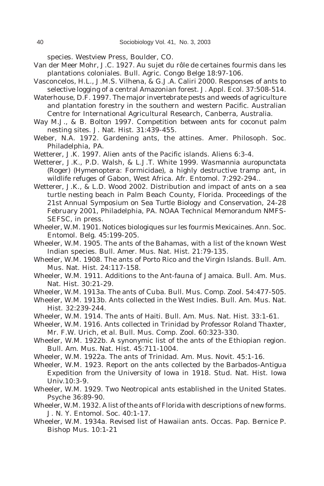species. Westview Press, Boulder, CO.

- Van der Meer Mohr, J.C. 1927. Au sujet du rôle de certaines fourmis dans les plantations coloniales. Bull. Agric. Congo Belge 18:97-106.
- Vasconcelos, H.L., J.M.S. Vilhena, & G.J.A. Caliri 2000. Responses of ants to selective logging of a central Amazonian forest. J. Appl. Ecol. 37:508-514.
- Waterhouse, D.F. 1997. The major invertebrate pests and weeds of agriculture and plantation forestry in the southern and western Pacific. Australian Centre for International Agricultural Research, Canberra, Australia.
- Way M.J., & B. Bolton 1997. Competition between ants for coconut palm nesting sites. J. Nat. Hist. 31:439-455.
- Weber, N.A. 1972. Gardening ants, the attines. Amer. Philosoph. Soc. Philadelphia, PA.
- Wetterer, J.K. 1997. Alien ants of the Pacific islands. Aliens 6:3-4.
- Wetterer, J.K., P.D. Walsh, & L.J.T. White 1999. *Wasmannia auropunctata* (Roger) (Hymenoptera: Formicidae), a highly destructive tramp ant, in wildlife refuges of Gabon, West Africa. Afr. Entomol. 7:292-294..
- Wetterer, J.K., & L.D. Wood 2002. Distribution and impact of ants on a sea turtle nesting beach in Palm Beach County, Florida. *Proceedings of the 21st Annual Symposium on Sea Turtle Biology and Conservation*, 24-28 February 2001, Philadelphia, PA. NOAA Technical Memorandum NMFS-SEFSC, in press.
- Wheeler, W.M. 1901. Notices biologiques sur les fourmis Mexicaines. Ann. Soc. Entomol. Belg. 45:199-205.
- Wheeler, W.M. 1905. The ants of the Bahamas, with a list of the known West Indian species. Bull. Amer. Mus. Nat. Hist. 21:79-135.
- Wheeler, W.M. 1908. The ants of Porto Rico and the Virgin Islands. Bull. Am. Mus. Nat. Hist. 24:117-158.
- Wheeler, W.M. 1911. Additions to the Ant-fauna of Jamaica. Bull. Am. Mus. Nat. Hist. 30:21-29.
- Wheeler, W.M. 1913a. The ants of Cuba. Bull. Mus. Comp. Zool. 54:477-505.
- Wheeler, W.M. 1913b. Ants collected in the West Indies. Bull. Am. Mus. Nat. Hist. 32:239-244.
- Wheeler, W.M. 1914. The ants of Haiti. Bull. Am. Mus. Nat. Hist. 33:1-61.
- Wheeler, W.M. 1916. Ants collected in Trinidad by Professor Roland Thaxter, Mr. F.W. Urich, *et al.* Bull. Mus. Comp. Zool. 60:323-330.
- Wheeler, W.M. 1922b. A synonymic list of the ants of the Ethiopian region. Bull. Am. Mus. Nat. Hist. 45:711-1004.
- Wheeler, W.M. 1922a. The ants of Trinidad. Am. Mus. Novit. 45:1-16.
- Wheeler, W.M. 1923. Report on the ants collected by the Barbados-Antigua Expedition from the University of Iowa in 1918. Stud. Nat. Hist. Iowa Univ.10:3-9.
- Wheeler, W.M. 1929. Two Neotropical ants established in the United States. Psyche 36:89-90.
- Wheeler, W.M. 1932. A list of the ants of Florida with descriptions of new forms. J. N. Y. Entomol. Soc. 40:1-17.
- Wheeler, W.M. 1934a. Revised list of Hawaiian ants. Occas. Pap. Bernice P. Bishop Mus. 10:1-21